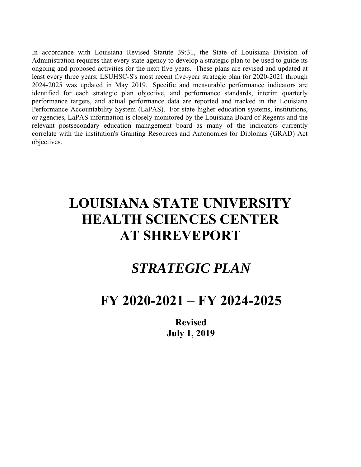identified for each strategic plan objective, and performance standards, interim quarterly Performance Accountability System (LaPAS). For state higher education systems, institutions, In accordance with Louisiana Revised Statute 39:31, the State of Louisiana Division of Administration requires that every state agency to develop a strategic plan to be used to guide its ongoing and proposed activities for Administration requires that every state agency to develop a strategic plan to be used to guide its ongoing and proposed activities for the next five years. These plans are revised and updated at least every three years; LSUHSC-S's most recent five-year strategic plan for 2020-2021 through 2024-2025 was updated in May 2019. Specific and measurable performance indicators are performance targets, and actual performance data are reported and tracked in the Louisiana or agencies, LaPAS information is closely monitored by the Louisiana Board of Regents and the relevant postsecondary education management board as many of the indicators currently correlate with the institution's Granting Resources and Autonomies for Diplomas (GRAD) Act objectives.

# **LOUISIANA STATE UNIVERSITY HEALTH SCIENCES CENTER AT SHREVEPORT**

## *STRATEGIC PLAN*

## **FY 2020-2021 – FY 2024-2025**

**Revised July 1, 2019**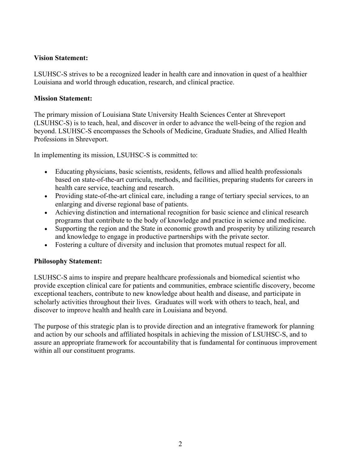#### **Vision Statement:**

LSUHSC-S strives to be a recognized leader in health care and innovation in quest of a healthier Louisiana and world through education, research, and clinical practice.

#### **Mission Statement:**

The primary mission of Louisiana State University Health Sciences Center at Shreveport (LSUHSC-S) is to teach, heal, and discover in order to advance the well-being of the region and beyond. LSUHSC-S encompasses the Schools of Medicine, Graduate Studies, and Allied Health Professions in Shreveport.

In implementing its mission, LSUHSC-S is committed to:

- Educating physicians, basic scientists, residents, fellows and allied health professionals based on state-of-the-art curricula, methods, and facilities, preparing students for careers in health care service, teaching and research.
- Providing state-of-the-art clinical care, including a range of tertiary special services, to an enlarging and diverse regional base of patients.
- Achieving distinction and international recognition for basic science and clinical research programs that contribute to the body of knowledge and practice in science and medicine.
- Supporting the region and the State in economic growth and prosperity by utilizing research and knowledge to engage in productive partnerships with the private sector.
- Fostering a culture of diversity and inclusion that promotes mutual respect for all.

#### **Philosophy Statement:**

LSUHSC-S aims to inspire and prepare healthcare professionals and biomedical scientist who provide exception clinical care for patients and communities, embrace scientific discovery, become exceptional teachers, contribute to new knowledge about health and disease, and participate in scholarly activities throughout their lives. Graduates will work with others to teach, heal, and discover to improve health and health care in Louisiana and beyond.

The purpose of this strategic plan is to provide direction and an integrative framework for planning and action by our schools and affiliated hospitals in achieving the mission of LSUHSC-S, and to assure an appropriate framework for accountability that is fundamental for continuous improvement within all our constituent programs.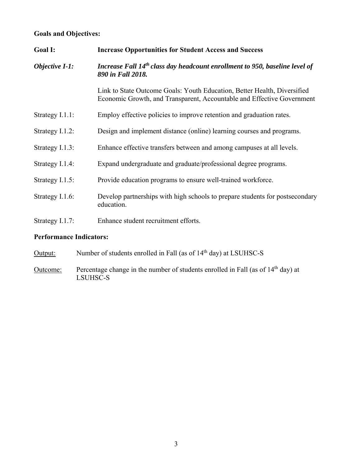#### **Goals and Objectives:**

| Goal I:                        | <b>Increase Opportunities for Student Access and Success</b>                                                                                       |
|--------------------------------|----------------------------------------------------------------------------------------------------------------------------------------------------|
| <b>Objective I-1:</b>          | Increase Fall 14 <sup>th</sup> class day headcount enrollment to 950, baseline level of<br>890 in Fall 2018.                                       |
|                                | Link to State Outcome Goals: Youth Education, Better Health, Diversified<br>Economic Growth, and Transparent, Accountable and Effective Government |
| Strategy I.1.1:                | Employ effective policies to improve retention and graduation rates.                                                                               |
| Strategy I.1.2:                | Design and implement distance (online) learning courses and programs.                                                                              |
| Strategy I.1.3:                | Enhance effective transfers between and among campuses at all levels.                                                                              |
| Strategy I.1.4:                | Expand undergraduate and graduate/professional degree programs.                                                                                    |
| Strategy I.1.5:                | Provide education programs to ensure well-trained workforce.                                                                                       |
| Strategy I.1.6:                | Develop partnerships with high schools to prepare students for postsecondary<br>education.                                                         |
| Strategy I.1.7:                | Enhance student recruitment efforts.                                                                                                               |
| <b>Performance Indicators:</b> |                                                                                                                                                    |

- Output: Number of students enrolled in Fall (as of 14<sup>th</sup> day) at LSUHSC-S
- Outcome: Percentage change in the number of students enrolled in Fall (as of 14<sup>th</sup> day) at LSUHSC-S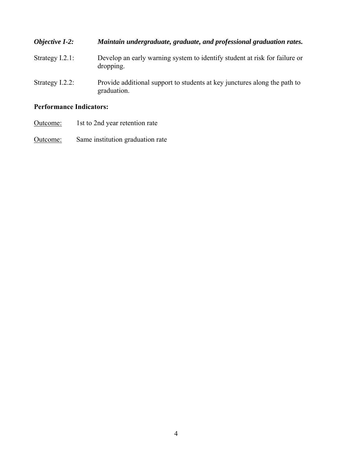| Objective I-2:                 | Maintain undergraduate, graduate, and professional graduation rates.                     |
|--------------------------------|------------------------------------------------------------------------------------------|
| Strategy $I.2.1$ :             | Develop an early warning system to identify student at risk for failure or<br>dropping.  |
| Strategy I.2.2:                | Provide additional support to students at key junctures along the path to<br>graduation. |
| <b>Performance Indicators:</b> |                                                                                          |

### Outcome: 1st to 2nd year retention rate

**Outcome:** Same institution graduation rate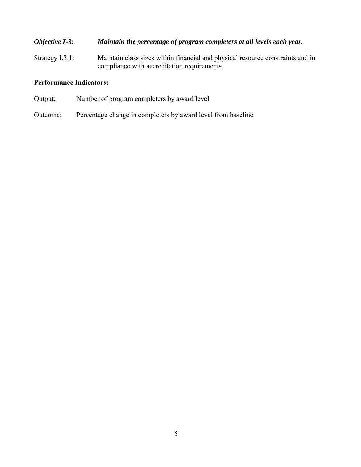#### *Objective I-3: Maintain the percentage of program completers at all levels each year.*

Strategy I.3.1: Maintain class sizes within financial and physical resource constraints and in compliance with accreditation requirements.

- Output: Number of program completers by award level
- Outcome: Percentage change in completers by award level from baseline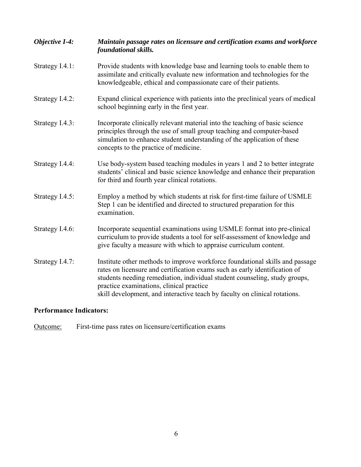| <b>Objective I-4:</b> | Maintain passage rates on licensure and certification exams and workforce<br>foundational skills.                                                                                                                                                                                                                                                                  |
|-----------------------|--------------------------------------------------------------------------------------------------------------------------------------------------------------------------------------------------------------------------------------------------------------------------------------------------------------------------------------------------------------------|
| Strategy I.4.1:       | Provide students with knowledge base and learning tools to enable them to<br>assimilate and critically evaluate new information and technologies for the<br>knowledgeable, ethical and compassionate care of their patients.                                                                                                                                       |
| Strategy I.4.2:       | Expand clinical experience with patients into the preclinical years of medical<br>school beginning early in the first year.                                                                                                                                                                                                                                        |
| Strategy I.4.3:       | Incorporate clinically relevant material into the teaching of basic science<br>principles through the use of small group teaching and computer-based<br>simulation to enhance student understanding of the application of these<br>concepts to the practice of medicine.                                                                                           |
| Strategy I.4.4:       | Use body-system based teaching modules in years 1 and 2 to better integrate<br>students' clinical and basic science knowledge and enhance their preparation<br>for third and fourth year clinical rotations.                                                                                                                                                       |
| Strategy I.4.5:       | Employ a method by which students at risk for first-time failure of USMLE<br>Step 1 can be identified and directed to structured preparation for this<br>examination.                                                                                                                                                                                              |
| Strategy I.4.6:       | Incorporate sequential examinations using USMLE format into pre-clinical<br>curriculum to provide students a tool for self-assessment of knowledge and<br>give faculty a measure with which to appraise curriculum content.                                                                                                                                        |
| Strategy I.4.7:       | Institute other methods to improve workforce foundational skills and passage<br>rates on licensure and certification exams such as early identification of<br>students needing remediation, individual student counseling, study groups,<br>practice examinations, clinical practice<br>skill development, and interactive teach by faculty on clinical rotations. |

Outcome: First-time pass rates on licensure/certification exams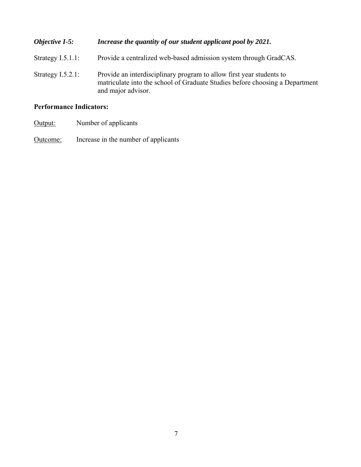| <b>Objective I-5:</b> | Increase the quantity of our student applicant pool by 2021.                                                                                                               |
|-----------------------|----------------------------------------------------------------------------------------------------------------------------------------------------------------------------|
| Strategy $I.5.1.1$ :  | Provide a centralized web-based admission system through GradCAS.                                                                                                          |
| Strategy $I.5.2.1$ :  | Provide an interdisciplinary program to allow first year students to<br>matriculate into the school of Graduate Studies before choosing a Department<br>and major advisor. |

- Output: Number of applicants
- Outcome: Increase in the number of applicants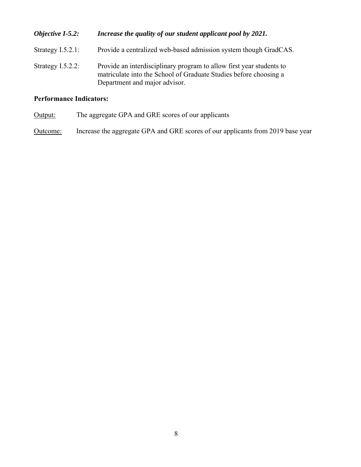| Objective I-5.2:     | Increase the quality of our student applicant pool by 2021.                                                                                                                |
|----------------------|----------------------------------------------------------------------------------------------------------------------------------------------------------------------------|
| Strategy $I.5.2.1$ : | Provide a centralized web-based admission system though GradCAS.                                                                                                           |
| Strategy $I.5.2.2$ : | Provide an interdisciplinary program to allow first year students to<br>matriculate into the School of Graduate Studies before choosing a<br>Department and major advisor. |

Output: The aggregate GPA and GRE scores of our applicants

Outcome: Increase the aggregate GPA and GRE scores of our applicants from 2019 base year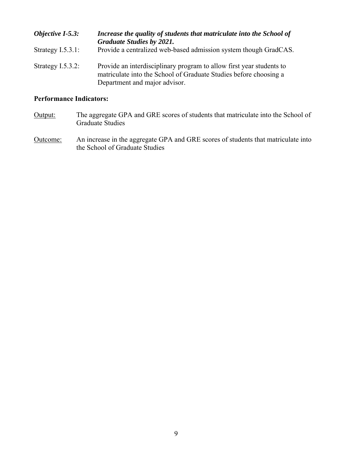| Objective $I-5.3$ :  | Increase the quality of students that matriculate into the School of<br><b>Graduate Studies by 2021.</b>                                                                   |
|----------------------|----------------------------------------------------------------------------------------------------------------------------------------------------------------------------|
| Strategy $I.5.3.1:$  | Provide a centralized web-based admission system though GradCAS.                                                                                                           |
| Strategy $I.5.3.2$ : | Provide an interdisciplinary program to allow first year students to<br>matriculate into the School of Graduate Studies before choosing a<br>Department and major advisor. |

- Output: The aggregate GPA and GRE scores of students that matriculate into the School of Graduate Studies
- Outcome: An increase in the aggregate GPA and GRE scores of students that matriculate into the School of Graduate Studies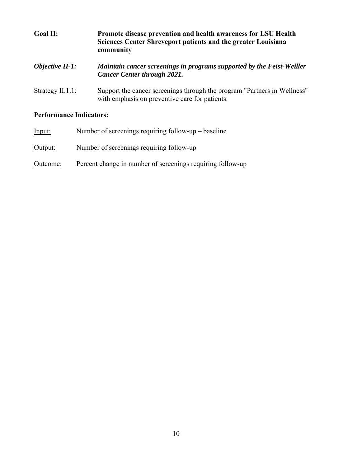| <b>Goal II:</b>        | Promote disease prevention and health awareness for LSU Health<br>Sciences Center Shreveport patients and the greater Louisiana<br>community |
|------------------------|----------------------------------------------------------------------------------------------------------------------------------------------|
| <b>Objective II-1:</b> | Maintain cancer screenings in programs supported by the Feist-Weiller<br><b>Cancer Center through 2021.</b>                                  |
| Strategy $II.1.1$ :    | Support the cancer screenings through the program "Partners in Wellness"<br>with emphasis on preventive care for patients.                   |

| Input:   | Number of screenings requiring follow-up $-$ baseline      |
|----------|------------------------------------------------------------|
| Output:  | Number of screenings requiring follow-up                   |
| Outcome: | Percent change in number of screenings requiring follow-up |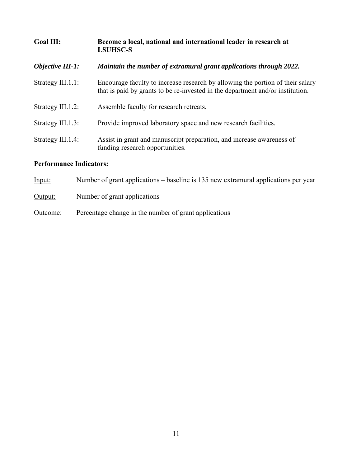| <b>Goal III:</b>               | Become a local, national and international leader in research at<br><b>LSUHSC-S</b>                                                                              |
|--------------------------------|------------------------------------------------------------------------------------------------------------------------------------------------------------------|
| <b>Objective III-1:</b>        | Maintain the number of extramural grant applications through 2022.                                                                                               |
| Strategy III.1.1:              | Encourage faculty to increase research by allowing the portion of their salary<br>that is paid by grants to be re-invested in the department and/or institution. |
| Strategy III.1.2:              | Assemble faculty for research retreats.                                                                                                                          |
| Strategy III.1.3:              | Provide improved laboratory space and new research facilities.                                                                                                   |
| Strategy III.1.4:              | Assist in grant and manuscript preparation, and increase awareness of<br>funding research opportunities.                                                         |
| <b>Performance Indicators:</b> |                                                                                                                                                                  |

| <u>Input:</u> | Number of grant applications – baseline is 135 new extramural applications per year |
|---------------|-------------------------------------------------------------------------------------|
| Output:       | Number of grant applications                                                        |
| Outcome:      | Percentage change in the number of grant applications                               |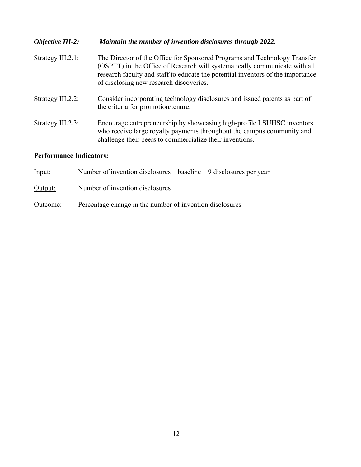| <b>Objective III-2:</b> | Maintain the number of invention disclosures through 2022.                                                                                                                                                                                                                            |
|-------------------------|---------------------------------------------------------------------------------------------------------------------------------------------------------------------------------------------------------------------------------------------------------------------------------------|
| Strategy III.2.1:       | The Director of the Office for Sponsored Programs and Technology Transfer<br>(OSPTT) in the Office of Research will systematically communicate with all<br>research faculty and staff to educate the potential inventors of the importance<br>of disclosing new research discoveries. |
| Strategy III.2.2:       | Consider incorporating technology disclosures and issued patents as part of<br>the criteria for promotion/tenure.                                                                                                                                                                     |
| Strategy III.2.3:       | Encourage entrepreneurship by showcasing high-profile LSUHSC inventors<br>who receive large royalty payments throughout the campus community and<br>challenge their peers to commercialize their inventions.                                                                          |

| Input:   | Number of invention disclosures $-$ baseline $-9$ disclosures per year |
|----------|------------------------------------------------------------------------|
| Output:  | Number of invention disclosures                                        |
| Outcome: | Percentage change in the number of invention disclosures               |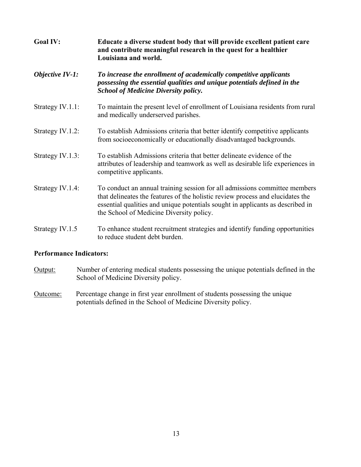| <b>Goal IV:</b><br><b>Objective IV-1:</b> | Educate a diverse student body that will provide excellent patient care<br>and contribute meaningful research in the quest for a healthier<br>Louisiana and world.                                                                                                                         |  |
|-------------------------------------------|--------------------------------------------------------------------------------------------------------------------------------------------------------------------------------------------------------------------------------------------------------------------------------------------|--|
|                                           | To increase the enrollment of academically competitive applicants<br>possessing the essential qualities and unique potentials defined in the<br><b>School of Medicine Diversity policy.</b>                                                                                                |  |
| Strategy IV.1.1:                          | To maintain the present level of enrollment of Louisiana residents from rural<br>and medically underserved parishes.                                                                                                                                                                       |  |
| Strategy IV.1.2:                          | To establish Admissions criteria that better identify competitive applicants<br>from socioeconomically or educationally disadvantaged backgrounds.                                                                                                                                         |  |
| Strategy IV.1.3:                          | To establish Admissions criteria that better delineate evidence of the<br>attributes of leadership and teamwork as well as desirable life experiences in<br>competitive applicants.                                                                                                        |  |
| Strategy IV.1.4:                          | To conduct an annual training session for all admissions committee members<br>that delineates the features of the holistic review process and elucidates the<br>essential qualities and unique potentials sought in applicants as described in<br>the School of Medicine Diversity policy. |  |
| Strategy IV.1.5                           | To enhance student recruitment strategies and identify funding opportunities<br>to reduce student debt burden.                                                                                                                                                                             |  |

- Output: Number of entering medical students possessing the unique potentials defined in the School of Medicine Diversity policy.
- Outcome: Percentage change in first year enrollment of students possessing the unique potentials defined in the School of Medicine Diversity policy.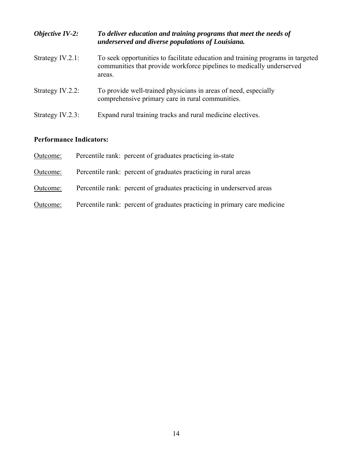| Objective $IV-2$ :  | To deliver education and training programs that meet the needs of<br>underserved and diverse populations of Louisiana.                                             |
|---------------------|--------------------------------------------------------------------------------------------------------------------------------------------------------------------|
| Strategy $IV.2.1$ : | To seek opportunities to facilitate education and training programs in targeted<br>communities that provide workforce pipelines to medically underserved<br>areas. |
| Strategy IV.2.2:    | To provide well-trained physicians in areas of need, especially<br>comprehensive primary care in rural communities.                                                |
| Strategy IV.2.3:    | Expand rural training tracks and rural medicine electives.                                                                                                         |

| Outcome: | Percentile rank: percent of graduates practicing in-state                 |
|----------|---------------------------------------------------------------------------|
| Outcome: | Percentile rank: percent of graduates practicing in rural areas           |
| Outcome: | Percentile rank: percent of graduates practicing in underserved areas     |
| Outcome: | Percentile rank: percent of graduates practicing in primary care medicine |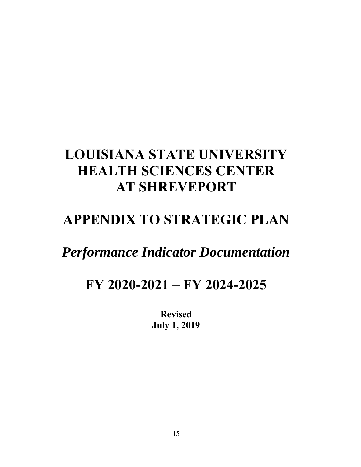# **LOUISIANA STATE UNIVERSITY HEALTH SCIENCES CENTER AT SHREVEPORT**

## **APPENDIX TO STRATEGIC PLAN**

## *Performance Indicator Documentation*

## **FY 2020-2021 – FY 2024-2025**

**Revised July 1, 2019**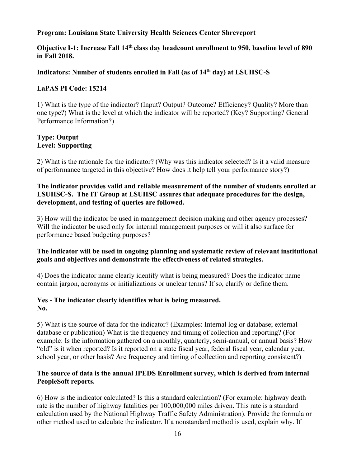#### **Program: Louisiana State University Health Sciences Center Shreveport**

**Objective I-1: Increase Fall 14th class day headcount enrollment to 950, baseline level of 890 in Fall 2018.** 

#### **Indicators: Number of students enrolled in Fall (as of 14th day) at LSUHSC-S**

#### **LaPAS PI Code: 15214**

 1) What is the type of the indicator? (Input? Output? Outcome? Efficiency? Quality? More than one type?) What is the level at which the indicator will be reported? (Key? Supporting? General Performance Information?)

#### **Type: Output Level: Supporting**

2) What is the rationale for the indicator? (Why was this indicator selected? Is it a valid measure of performance targeted in this objective? How does it help tell your performance story?)

#### **The indicator provides valid and reliable measurement of the number of students enrolled at LSUHSC-S. The IT Group at LSUHSC assures that adequate procedures for the design, development, and testing of queries are followed.**

3) How will the indicator be used in management decision making and other agency processes? Will the indicator be used only for internal management purposes or will it also surface for performance based budgeting purposes?

#### **The indicator will be used in ongoing planning and systematic review of relevant institutional goals and objectives and demonstrate the effectiveness of related strategies.**

4) Does the indicator name clearly identify what is being measured? Does the indicator name contain jargon, acronyms or initializations or unclear terms? If so, clarify or define them.

#### **Yes - The indicator clearly identifies what is being measured. No.**

5) What is the source of data for the indicator? (Examples: Internal log or database; external database or publication) What is the frequency and timing of collection and reporting? (For example: Is the information gathered on a monthly, quarterly, semi-annual, or annual basis? How "old" is it when reported? Is it reported on a state fiscal year, federal fiscal year, calendar year, school year, or other basis? Are frequency and timing of collection and reporting consistent?)

#### **The source of data is the annual IPEDS Enrollment survey, which is derived from internal PeopleSoft reports.**

6) How is the indicator calculated? Is this a standard calculation? (For example: highway death rate is the number of highway fatalities per 100,000,000 miles driven. This rate is a standard calculation used by the National Highway Traffic Safety Administration). Provide the formula or other method used to calculate the indicator. If a nonstandard method is used, explain why. If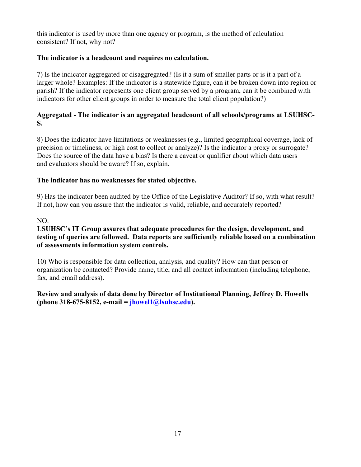this indicator is used by more than one agency or program, is the method of calculation consistent? If not, why not?

#### **The indicator is a headcount and requires no calculation.**

 7) Is the indicator aggregated or disaggregated? (Is it a sum of smaller parts or is it a part of a larger whole? Examples: If the indicator is a statewide figure, can it be broken down into region or parish? If the indicator represents one client group served by a program, can it be combined with indicators for other client groups in order to measure the total client population?)

#### **Aggregated - The indicator is an aggregated headcount of all schools/programs at LSUHSC-S.**

8) Does the indicator have limitations or weaknesses (e.g., limited geographical coverage, lack of precision or timeliness, or high cost to collect or analyze)? Is the indicator a proxy or surrogate? Does the source of the data have a bias? Is there a caveat or qualifier about which data users and evaluators should be aware? If so, explain.

#### **The indicator has no weaknesses for stated objective.**

9) Has the indicator been audited by the Office of the Legislative Auditor? If so, with what result? If not, how can you assure that the indicator is valid, reliable, and accurately reported?

#### NO.

#### **LSUHSC's IT Group assures that adequate procedures for the design, development, and testing of queries are followed. Data reports are sufficiently reliable based on a combination of assessments information system controls.**

10) Who is responsible for data collection, analysis, and quality? How can that person or organization be contacted? Provide name, title, and all contact information (including telephone, fax, and email address).

#### **Review and analysis of data done by Director of Institutional Planning, Jeffrey D. Howells (phone 318-675-8152, e-mail = [jhowel1@lsuhsc.edu\)](mailto:jhowel1@lsuhsc.edu).**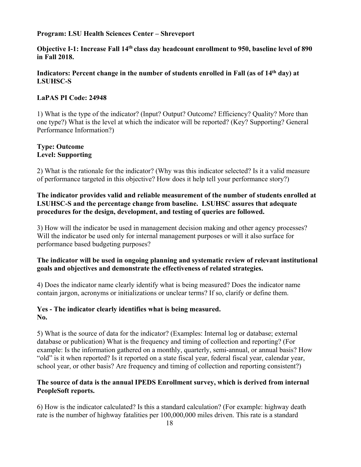**Objective I-1: Increase Fall 14th class day headcount enrollment to 950, baseline level of 890 in Fall 2018.** 

#### Indicators: Percent change in the number of students enrolled in Fall (as of 14<sup>th</sup> day) at **LSUHSC-S**

#### **LaPAS PI Code: 24948**

 1) What is the type of the indicator? (Input? Output? Outcome? Efficiency? Quality? More than one type?) What is the level at which the indicator will be reported? (Key? Supporting? General Performance Information?)

#### **Type: Outcome Level: Supporting**

2) What is the rationale for the indicator? (Why was this indicator selected? Is it a valid measure of performance targeted in this objective? How does it help tell your performance story?)

#### **The indicator provides valid and reliable measurement of the number of students enrolled at LSUHSC-S and the percentage change from baseline. LSUHSC assures that adequate procedures for the design, development, and testing of queries are followed.**

3) How will the indicator be used in management decision making and other agency processes? Will the indicator be used only for internal management purposes or will it also surface for performance based budgeting purposes?

#### **The indicator will be used in ongoing planning and systematic review of relevant institutional goals and objectives and demonstrate the effectiveness of related strategies.**

4) Does the indicator name clearly identify what is being measured? Does the indicator name contain jargon, acronyms or initializations or unclear terms? If so, clarify or define them.

#### **Yes - The indicator clearly identifies what is being measured. No.**

5) What is the source of data for the indicator? (Examples: Internal log or database; external database or publication) What is the frequency and timing of collection and reporting? (For example: Is the information gathered on a monthly, quarterly, semi-annual, or annual basis? How "old" is it when reported? Is it reported on a state fiscal year, federal fiscal year, calendar year, school year, or other basis? Are frequency and timing of collection and reporting consistent?)

#### **The source of data is the annual IPEDS Enrollment survey, which is derived from internal PeopleSoft reports.**

6) How is the indicator calculated? Is this a standard calculation? (For example: highway death rate is the number of highway fatalities per 100,000,000 miles driven. This rate is a standard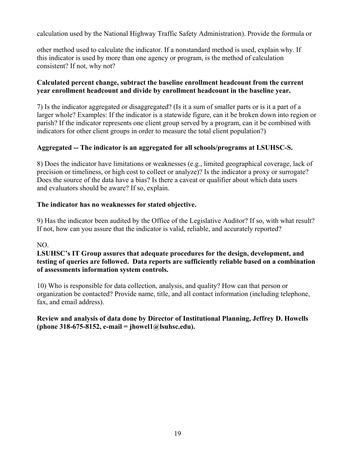calculation used by the National Highway Traffic Safety Administration). Provide the formula or

other method used to calculate the indicator. If a nonstandard method is used, explain why. If this indicator is used by more than one agency or program, is the method of calculation consistent? If not, why not?

#### **Calculated percent change, subtract the baseline enrollment headcount from the current year enrollment headcount and divide by enrollment headcount in the baseline year.**

 7) Is the indicator aggregated or disaggregated? (Is it a sum of smaller parts or is it a part of a larger whole? Examples: If the indicator is a statewide figure, can it be broken down into region or parish? If the indicator represents one client group served by a program, can it be combined with indicators for other client groups in order to measure the total client population?)

#### **Aggregated -- The indicator is an aggregated for all schools/programs at LSUHSC-S.**

8) Does the indicator have limitations or weaknesses (e.g., limited geographical coverage, lack of precision or timeliness, or high cost to collect or analyze)? Is the indicator a proxy or surrogate? Does the source of the data have a bias? Is there a caveat or qualifier about which data users and evaluators should be aware? If so, explain.

#### **The indicator has no weaknesses for stated objective.**

9) Has the indicator been audited by the Office of the Legislative Auditor? If so, with what result? If not, how can you assure that the indicator is valid, reliable, and accurately reported?

#### NO.

#### **LSUHSC's IT Group assures that adequate procedures for the design, development, and testing of queries are followed. Data reports are sufficiently reliable based on a combination of assessments information system controls.**

10) Who is responsible for data collection, analysis, and quality? How can that person or organization be contacted? Provide name, title, and all contact information (including telephone, fax, and email address).

#### **Review and analysis of data done by Director of Institutional Planning, Jeffrey D. Howells (phone 318-675-8152, e-mail = [jhowel1@lsuhsc.edu](mailto:jhowel1@lsuhsc.edu)).**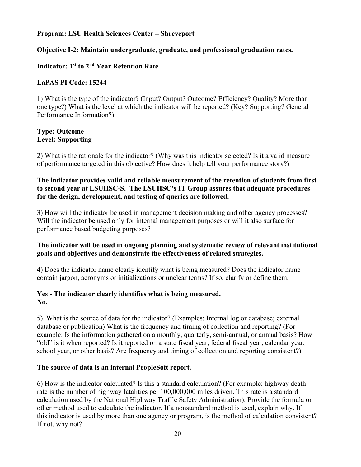#### **Objective I-2: Maintain undergraduate, graduate, and professional graduation rates.**

#### **Indicator: 1st to 2nd Year Retention Rate**

#### **LaPAS PI Code: 15244**

 1) What is the type of the indicator? (Input? Output? Outcome? Efficiency? Quality? More than one type?) What is the level at which the indicator will be reported? (Key? Supporting? General Performance Information?)

#### **Type: Outcome Level: Supporting**

2) What is the rationale for the indicator? (Why was this indicator selected? Is it a valid measure of performance targeted in this objective? How does it help tell your performance story?)

#### **The indicator provides valid and reliable measurement of the retention of students from first to second year at LSUHSC-S. The LSUHSC's IT Group assures that adequate procedures for the design, development, and testing of queries are followed.**

3) How will the indicator be used in management decision making and other agency processes? Will the indicator be used only for internal management purposes or will it also surface for performance based budgeting purposes?

#### **The indicator will be used in ongoing planning and systematic review of relevant institutional goals and objectives and demonstrate the effectiveness of related strategies.**

4) Does the indicator name clearly identify what is being measured? Does the indicator name contain jargon, acronyms or initializations or unclear terms? If so, clarify or define them.

#### **Yes - The indicator clearly identifies what is being measured. No.**

5) What is the source of data for the indicator? (Examples: Internal log or database; external database or publication) What is the frequency and timing of collection and reporting? (For example: Is the information gathered on a monthly, quarterly, semi-annual, or annual basis? How "old" is it when reported? Is it reported on a state fiscal year, federal fiscal year, calendar year, school year, or other basis? Are frequency and timing of collection and reporting consistent?)

#### **The source of data is an internal PeopleSoft report.**

6) How is the indicator calculated? Is this a standard calculation? (For example: highway death rate is the number of highway fatalities per 100,000,000 miles driven. This rate is a standard calculation used by the National Highway Traffic Safety Administration). Provide the formula or other method used to calculate the indicator. If a nonstandard method is used, explain why. If this indicator is used by more than one agency or program, is the method of calculation consistent? If not, why not?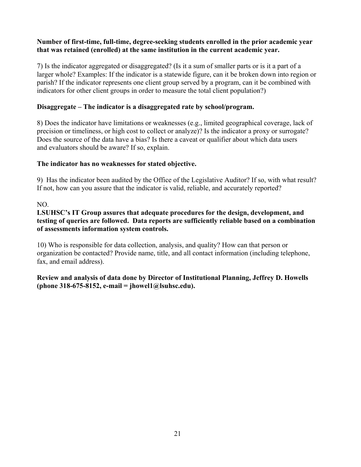#### **Number of first-time, full-time, degree-seeking students enrolled in the prior academic year that was retained (enrolled) at the same institution in the current academic year.**

 7) Is the indicator aggregated or disaggregated? (Is it a sum of smaller parts or is it a part of a larger whole? Examples: If the indicator is a statewide figure, can it be broken down into region or parish? If the indicator represents one client group served by a program, can it be combined with indicators for other client groups in order to measure the total client population?)

#### **Disaggregate – The indicator is a disaggregated rate by school/program.**

8) Does the indicator have limitations or weaknesses (e.g., limited geographical coverage, lack of precision or timeliness, or high cost to collect or analyze)? Is the indicator a proxy or surrogate? Does the source of the data have a bias? Is there a caveat or qualifier about which data users and evaluators should be aware? If so, explain.

#### **The indicator has no weaknesses for stated objective.**

9) Has the indicator been audited by the Office of the Legislative Auditor? If so, with what result? If not, how can you assure that the indicator is valid, reliable, and accurately reported?

#### NO.

#### **LSUHSC's IT Group assures that adequate procedures for the design, development, and testing of queries are followed. Data reports are sufficiently reliable based on a combination of assessments information system controls.**

10) Who is responsible for data collection, analysis, and quality? How can that person or organization be contacted? Provide name, title, and all contact information (including telephone, fax, and email address).

#### **Review and analysis of data done by Director of Institutional Planning, Jeffrey D. Howells (phone 318-675-8152, e-mail = [jhowel1@lsuhsc.edu](mailto:jhowel1@lsuhsc.edu)).**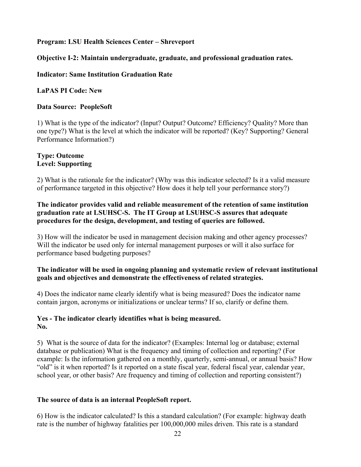#### **Objective I-2: Maintain undergraduate, graduate, and professional graduation rates.**

#### **Indicator: Same Institution Graduation Rate**

#### **LaPAS PI Code: New**

#### **Data Source: PeopleSoft**

 1) What is the type of the indicator? (Input? Output? Outcome? Efficiency? Quality? More than one type?) What is the level at which the indicator will be reported? (Key? Supporting? General Performance Information?)

#### **Type: Outcome Level: Supporting**

2) What is the rationale for the indicator? (Why was this indicator selected? Is it a valid measure of performance targeted in this objective? How does it help tell your performance story?)

#### **The indicator provides valid and reliable measurement of the retention of same institution graduation rate at LSUHSC-S. The IT Group at LSUHSC-S assures that adequate procedures for the design, development, and testing of queries are followed.**

3) How will the indicator be used in management decision making and other agency processes? Will the indicator be used only for internal management purposes or will it also surface for performance based budgeting purposes?

#### **The indicator will be used in ongoing planning and systematic review of relevant institutional goals and objectives and demonstrate the effectiveness of related strategies.**

4) Does the indicator name clearly identify what is being measured? Does the indicator name contain jargon, acronyms or initializations or unclear terms? If so, clarify or define them.

#### **Yes - The indicator clearly identifies what is being measured. No.**

5) What is the source of data for the indicator? (Examples: Internal log or database; external database or publication) What is the frequency and timing of collection and reporting? (For example: Is the information gathered on a monthly, quarterly, semi-annual, or annual basis? How "old" is it when reported? Is it reported on a state fiscal year, federal fiscal year, calendar year, school year, or other basis? Are frequency and timing of collection and reporting consistent?)

#### **The source of data is an internal PeopleSoft report.**

6) How is the indicator calculated? Is this a standard calculation? (For example: highway death rate is the number of highway fatalities per 100,000,000 miles driven. This rate is a standard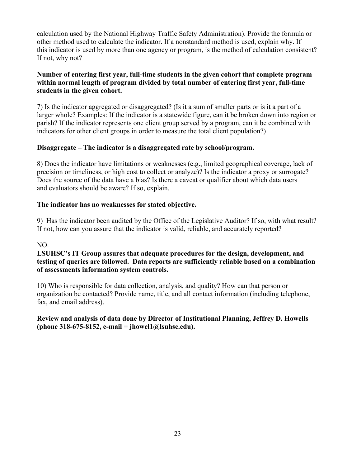calculation used by the National Highway Traffic Safety Administration). Provide the formula or other method used to calculate the indicator. If a nonstandard method is used, explain why. If this indicator is used by more than one agency or program, is the method of calculation consistent? If not, why not?

#### **Number of entering first year, full-time students in the given cohort that complete program within normal length of program divided by total number of entering first year, full-time students in the given cohort.**

 7) Is the indicator aggregated or disaggregated? (Is it a sum of smaller parts or is it a part of a larger whole? Examples: If the indicator is a statewide figure, can it be broken down into region or parish? If the indicator represents one client group served by a program, can it be combined with indicators for other client groups in order to measure the total client population?)

#### **Disaggregate – The indicator is a disaggregated rate by school/program.**

8) Does the indicator have limitations or weaknesses (e.g., limited geographical coverage, lack of precision or timeliness, or high cost to collect or analyze)? Is the indicator a proxy or surrogate? Does the source of the data have a bias? Is there a caveat or qualifier about which data users and evaluators should be aware? If so, explain.

#### **The indicator has no weaknesses for stated objective.**

9) Has the indicator been audited by the Office of the Legislative Auditor? If so, with what result? If not, how can you assure that the indicator is valid, reliable, and accurately reported?

#### NO.

#### **LSUHSC's IT Group assures that adequate procedures for the design, development, and testing of queries are followed. Data reports are sufficiently reliable based on a combination of assessments information system controls.**

10) Who is responsible for data collection, analysis, and quality? How can that person or organization be contacted? Provide name, title, and all contact information (including telephone, fax, and email address).

#### **Review and analysis of data done by Director of Institutional Planning, Jeffrey D. Howells (phone 318-675-8152, e-mail = [jhowel1@lsuhsc.edu](mailto:jhowel1@lsuhsc.edu)).**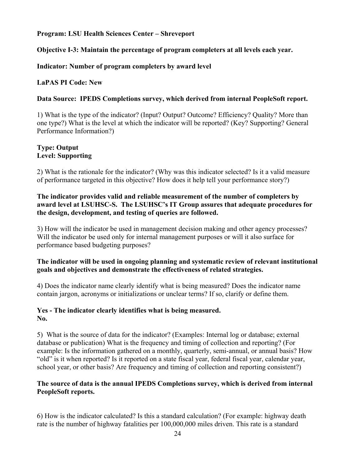#### **Objective I-3: Maintain the percentage of program completers at all levels each year.**

#### **Indicator: Number of program completers by award level**

#### **LaPAS PI Code: New**

#### **Data Source: IPEDS Completions survey, which derived from internal PeopleSoft report.**

 1) What is the type of the indicator? (Input? Output? Outcome? Efficiency? Quality? More than one type?) What is the level at which the indicator will be reported? (Key? Supporting? General Performance Information?)

#### **Type: Output Level: Supporting**

2) What is the rationale for the indicator? (Why was this indicator selected? Is it a valid measure of performance targeted in this objective? How does it help tell your performance story?)

#### **The indicator provides valid and reliable measurement of the number of completers by award level at LSUHSC-S. The LSUHSC's IT Group assures that adequate procedures for the design, development, and testing of queries are followed.**

3) How will the indicator be used in management decision making and other agency processes? Will the indicator be used only for internal management purposes or will it also surface for performance based budgeting purposes?

#### **The indicator will be used in ongoing planning and systematic review of relevant institutional goals and objectives and demonstrate the effectiveness of related strategies.**

4) Does the indicator name clearly identify what is being measured? Does the indicator name contain jargon, acronyms or initializations or unclear terms? If so, clarify or define them.

#### **Yes - The indicator clearly identifies what is being measured. No.**

5) What is the source of data for the indicator? (Examples: Internal log or database; external database or publication) What is the frequency and timing of collection and reporting? (For example: Is the information gathered on a monthly, quarterly, semi-annual, or annual basis? How "old" is it when reported? Is it reported on a state fiscal year, federal fiscal year, calendar year, school year, or other basis? Are frequency and timing of collection and reporting consistent?)

#### **The source of data is the annual IPEDS Completions survey, which is derived from internal PeopleSoft reports.**

6) How is the indicator calculated? Is this a standard calculation? (For example: highway death rate is the number of highway fatalities per 100,000,000 miles driven. This rate is a standard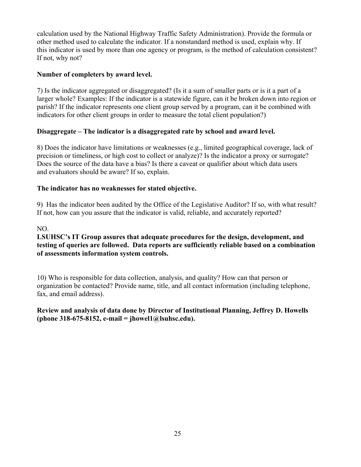calculation used by the National Highway Traffic Safety Administration). Provide the formula or other method used to calculate the indicator. If a nonstandard method is used, explain why. If this indicator is used by more than one agency or program, is the method of calculation consistent? If not, why not?

#### **Number of completers by award level.**

 7) Is the indicator aggregated or disaggregated? (Is it a sum of smaller parts or is it a part of a larger whole? Examples: If the indicator is a statewide figure, can it be broken down into region or parish? If the indicator represents one client group served by a program, can it be combined with indicators for other client groups in order to measure the total client population?)

#### **Disaggregate – The indicator is a disaggregated rate by school and award level.**

8) Does the indicator have limitations or weaknesses (e.g., limited geographical coverage, lack of precision or timeliness, or high cost to collect or analyze)? Is the indicator a proxy or surrogate? Does the source of the data have a bias? Is there a caveat or qualifier about which data users and evaluators should be aware? If so, explain.

#### **The indicator has no weaknesses for stated objective.**

9) Has the indicator been audited by the Office of the Legislative Auditor? If so, with what result? If not, how can you assure that the indicator is valid, reliable, and accurately reported?

#### NO.

#### **LSUHSC's IT Group assures that adequate procedures for the design, development, and testing of queries are followed. Data reports are sufficiently reliable based on a combination of assessments information system controls.**

10) Who is responsible for data collection, analysis, and quality? How can that person or organization be contacted? Provide name, title, and all contact information (including telephone, fax, and email address).

#### **Review and analysis of data done by Director of Institutional Planning, Jeffrey D. Howells (phone 318-675-8152, e-mail = [jhowel1@lsuhsc.edu](mailto:jhowel1@lsuhsc.edu)).**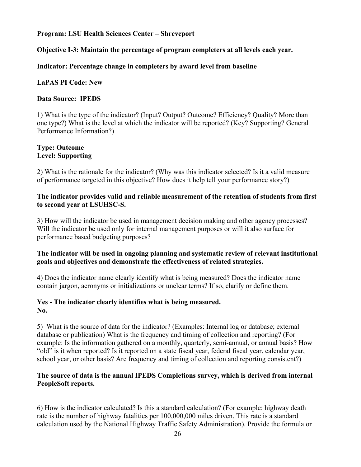#### **Objective I-3: Maintain the percentage of program completers at all levels each year.**

#### **Indicator: Percentage change in completers by award level from baseline**

#### **LaPAS PI Code: New**

#### **Data Source: IPEDS**

 1) What is the type of the indicator? (Input? Output? Outcome? Efficiency? Quality? More than one type?) What is the level at which the indicator will be reported? (Key? Supporting? General Performance Information?)

#### **Type: Outcome Level: Supporting**

2) What is the rationale for the indicator? (Why was this indicator selected? Is it a valid measure of performance targeted in this objective? How does it help tell your performance story?)

#### **The indicator provides valid and reliable measurement of the retention of students from first to second year at LSUHSC-S.**

3) How will the indicator be used in management decision making and other agency processes? Will the indicator be used only for internal management purposes or will it also surface for performance based budgeting purposes?

#### **The indicator will be used in ongoing planning and systematic review of relevant institutional goals and objectives and demonstrate the effectiveness of related strategies.**

4) Does the indicator name clearly identify what is being measured? Does the indicator name contain jargon, acronyms or initializations or unclear terms? If so, clarify or define them.

#### **Yes - The indicator clearly identifies what is being measured. No.**

5) What is the source of data for the indicator? (Examples: Internal log or database; external database or publication) What is the frequency and timing of collection and reporting? (For example: Is the information gathered on a monthly, quarterly, semi-annual, or annual basis? How "old" is it when reported? Is it reported on a state fiscal year, federal fiscal year, calendar year, school year, or other basis? Are frequency and timing of collection and reporting consistent?)

#### **The source of data is the annual IPEDS Completions survey, which is derived from internal PeopleSoft reports.**

6) How is the indicator calculated? Is this a standard calculation? (For example: highway death rate is the number of highway fatalities per 100,000,000 miles driven. This rate is a standard calculation used by the National Highway Traffic Safety Administration). Provide the formula or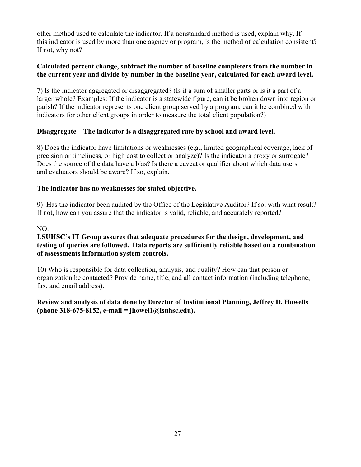other method used to calculate the indicator. If a nonstandard method is used, explain why. If this indicator is used by more than one agency or program, is the method of calculation consistent? If not, why not?

#### **Calculated percent change, subtract the number of baseline completers from the number in the current year and divide by number in the baseline year, calculated for each award level.**

 7) Is the indicator aggregated or disaggregated? (Is it a sum of smaller parts or is it a part of a larger whole? Examples: If the indicator is a statewide figure, can it be broken down into region or parish? If the indicator represents one client group served by a program, can it be combined with indicators for other client groups in order to measure the total client population?)

#### **Disaggregate – The indicator is a disaggregated rate by school and award level.**

8) Does the indicator have limitations or weaknesses (e.g., limited geographical coverage, lack of precision or timeliness, or high cost to collect or analyze)? Is the indicator a proxy or surrogate? Does the source of the data have a bias? Is there a caveat or qualifier about which data users and evaluators should be aware? If so, explain.

#### **The indicator has no weaknesses for stated objective.**

9) Has the indicator been audited by the Office of the Legislative Auditor? If so, with what result? If not, how can you assure that the indicator is valid, reliable, and accurately reported?

#### NO.

#### **LSUHSC's IT Group assures that adequate procedures for the design, development, and testing of queries are followed. Data reports are sufficiently reliable based on a combination of assessments information system controls.**

10) Who is responsible for data collection, analysis, and quality? How can that person or organization be contacted? Provide name, title, and all contact information (including telephone, fax, and email address).

#### **Review and analysis of data done by Director of Institutional Planning, Jeffrey D. Howells (phone 318-675-8152, e-mail = [jhowel1@lsuhsc.edu](mailto:jhowel1@lsuhsc.edu)).**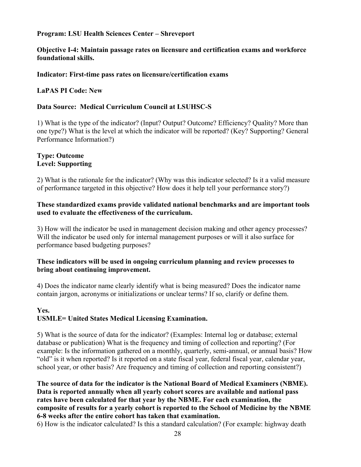#### **Objective I-4: Maintain passage rates on licensure and certification exams and workforce foundational skills.**

#### **Indicator: First-time pass rates on licensure/certification exams**

#### **LaPAS PI Code: New**

#### **Data Source: Medical Curriculum Council at LSUHSC-S**

 1) What is the type of the indicator? (Input? Output? Outcome? Efficiency? Quality? More than one type?) What is the level at which the indicator will be reported? (Key? Supporting? General Performance Information?)

#### **Type: Outcome Level: Supporting**

2) What is the rationale for the indicator? (Why was this indicator selected? Is it a valid measure of performance targeted in this objective? How does it help tell your performance story?)

#### **These standardized exams provide validated national benchmarks and are important tools used to evaluate the effectiveness of the curriculum.**

3) How will the indicator be used in management decision making and other agency processes? Will the indicator be used only for internal management purposes or will it also surface for performance based budgeting purposes?

#### **These indicators will be used in ongoing curriculum planning and review processes to bring about continuing improvement.**

4) Does the indicator name clearly identify what is being measured? Does the indicator name contain jargon, acronyms or initializations or unclear terms? If so, clarify or define them.

#### **Yes. USMLE= United States Medical Licensing Examination.**

5) What is the source of data for the indicator? (Examples: Internal log or database; external database or publication) What is the frequency and timing of collection and reporting? (For example: Is the information gathered on a monthly, quarterly, semi-annual, or annual basis? How "old" is it when reported? Is it reported on a state fiscal year, federal fiscal year, calendar year, school year, or other basis? Are frequency and timing of collection and reporting consistent?)

**The source of data for the indicator is the National Board of Medical Examiners (NBME). Data is reported annually when all yearly cohort scores are available and national pass rates have been calculated for that year by the NBME. For each examination, the composite of results for a yearly cohort is reported to the School of Medicine by the NBME 6-8 weeks after the entire cohort has taken that examination.** 

6) How is the indicator calculated? Is this a standard calculation? (For example: highway death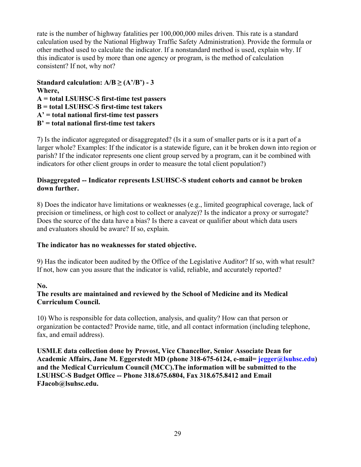rate is the number of highway fatalities per 100,000,000 miles driven. This rate is a standard calculation used by the National Highway Traffic Safety Administration). Provide the formula or other method used to calculate the indicator. If a nonstandard method is used, explain why. If this indicator is used by more than one agency or program, is the method of calculation consistent? If not, why not?

**Standard calculation:**  $A/B \geq (A'/B') - 3$ **Where, A = total LSUHSC-S first-time test passers B = total LSUHSC-S first-time test takers A' = total national first-time test passers B' = total national first-time test takers**

 7) Is the indicator aggregated or disaggregated? (Is it a sum of smaller parts or is it a part of a larger whole? Examples: If the indicator is a statewide figure, can it be broken down into region or parish? If the indicator represents one client group served by a program, can it be combined with indicators for other client groups in order to measure the total client population?)

#### **Disaggregated -- Indicator represents LSUHSC-S student cohorts and cannot be broken down further.**

8) Does the indicator have limitations or weaknesses (e.g., limited geographical coverage, lack of precision or timeliness, or high cost to collect or analyze)? Is the indicator a proxy or surrogate? Does the source of the data have a bias? Is there a caveat or qualifier about which data users and evaluators should be aware? If so, explain.

#### **The indicator has no weaknesses for stated objective.**

9) Has the indicator been audited by the Office of the Legislative Auditor? If so, with what result? If not, how can you assure that the indicator is valid, reliable, and accurately reported?

#### **No.**

#### **The results are maintained and reviewed by the School of Medicine and its Medical Curriculum Council.**

10) Who is responsible for data collection, analysis, and quality? How can that person or organization be contacted? Provide name, title, and all contact information (including telephone, fax, and email address).

**USMLE data collection done by Provost, Vice Chancellor, Senior Associate Dean for Academic Affairs, Jane M. Eggerstedt MD (phone 318-675-6124, e-mail= [jegger@lsuhsc.edu](mailto:jegger@lsuhsc.edu)) and the Medical Curriculum Council (MCC).The information will be submitted to the LSUHSC-S Budget Office -- Phone 318.675.6804, Fax 318.675.8412 and Email [FJacob@lsuhsc.edu](mailto:FJacob@lsuhsc.edu).**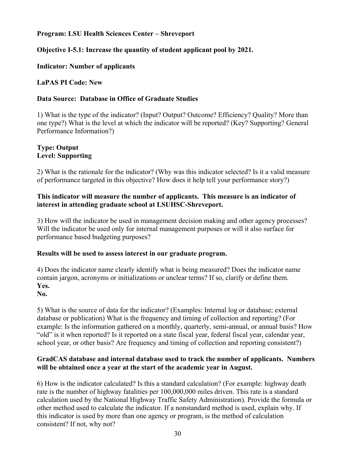#### **Objective I-5.1: Increase the quantity of student applicant pool by 2021.**

#### **Indicator: Number of applicants**

#### **LaPAS PI Code: New**

#### **Data Source: Database in Office of Graduate Studies**

 1) What is the type of the indicator? (Input? Output? Outcome? Efficiency? Quality? More than one type?) What is the level at which the indicator will be reported? (Key? Supporting? General Performance Information?)

#### **Type: Output Level: Supporting**

2) What is the rationale for the indicator? (Why was this indicator selected? Is it a valid measure of performance targeted in this objective? How does it help tell your performance story?)

#### **This indicator will measure the number of applicants. This measure is an indicator of interest in attending graduate school at LSUHSC-Shreveport.**

3) How will the indicator be used in management decision making and other agency processes? Will the indicator be used only for internal management purposes or will it also surface for performance based budgeting purposes?

#### **Results will be used to assess interest in our graduate program.**

4) Does the indicator name clearly identify what is being measured? Does the indicator name contain jargon, acronyms or initializations or unclear terms? If so, clarify or define them. **Yes.** 

#### **No.**

5) What is the source of data for the indicator? (Examples: Internal log or database; external database or publication) What is the frequency and timing of collection and reporting? (For example: Is the information gathered on a monthly, quarterly, semi-annual, or annual basis? How "old" is it when reported? Is it reported on a state fiscal year, federal fiscal year, calendar year, school year, or other basis? Are frequency and timing of collection and reporting consistent?)

#### **GradCAS database and internal database used to track the number of applicants. Numbers will be obtained once a year at the start of the academic year in August.**

6) How is the indicator calculated? Is this a standard calculation? (For example: highway death rate is the number of highway fatalities per 100,000,000 miles driven. This rate is a standard calculation used by the National Highway Traffic Safety Administration). Provide the formula or other method used to calculate the indicator. If a nonstandard method is used, explain why. If this indicator is used by more than one agency or program, is the method of calculation consistent? If not, why not?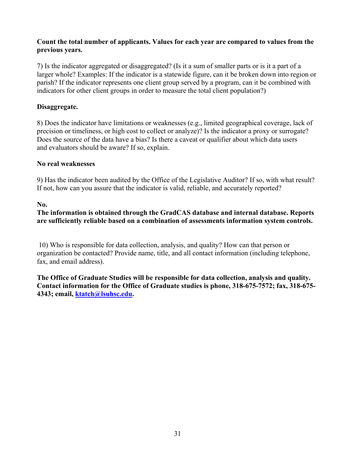#### **Count the total number of applicants. Values for each year are compared to values from the previous years.**

 7) Is the indicator aggregated or disaggregated? (Is it a sum of smaller parts or is it a part of a larger whole? Examples: If the indicator is a statewide figure, can it be broken down into region or parish? If the indicator represents one client group served by a program, can it be combined with indicators for other client groups in order to measure the total client population?)

#### **Disaggregate.**

8) Does the indicator have limitations or weaknesses (e.g., limited geographical coverage, lack of precision or timeliness, or high cost to collect or analyze)? Is the indicator a proxy or surrogate? Does the source of the data have a bias? Is there a caveat or qualifier about which data users and evaluators should be aware? If so, explain.

#### **No real weaknesses**

9) Has the indicator been audited by the Office of the Legislative Auditor? If so, with what result? If not, how can you assure that the indicator is valid, reliable, and accurately reported?

#### **No.**

#### **The information is obtained through the GradCAS database and internal database. Reports are sufficiently reliable based on a combination of assessments information system controls.**

10) Who is responsible for data collection, analysis, and quality? How can that person or organization be contacted? Provide name, title, and all contact information (including telephone, fax, and email address).

**The Office of Graduate Studies will be responsible for data collection, analysis and quality. Contact information for the Office of Graduate studies is phone, 318-675-7572; fax, 318-675- 4343; email, [ktatch@lsuhsc.edu.](mailto:ktatch@lsuhsc.edu)**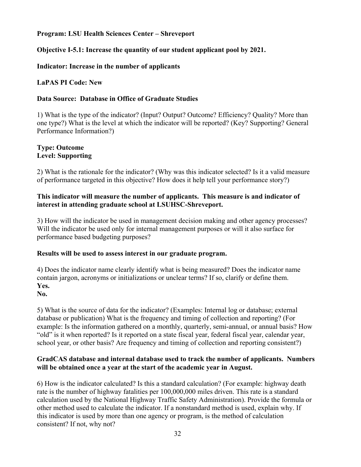#### **Objective I-5.1: Increase the quantity of our student applicant pool by 2021.**

#### **Indicator: Increase in the number of applicants**

#### **LaPAS PI Code: New**

#### **Data Source: Database in Office of Graduate Studies**

 1) What is the type of the indicator? (Input? Output? Outcome? Efficiency? Quality? More than one type?) What is the level at which the indicator will be reported? (Key? Supporting? General Performance Information?)

#### **Type: Outcome Level: Supporting**

2) What is the rationale for the indicator? (Why was this indicator selected? Is it a valid measure of performance targeted in this objective? How does it help tell your performance story?)

#### **This indicator will measure the number of applicants. This measure is and indicator of interest in attending graduate school at LSUHSC-Shreveport.**

3) How will the indicator be used in management decision making and other agency processes? Will the indicator be used only for internal management purposes or will it also surface for performance based budgeting purposes?

#### **Results will be used to assess interest in our graduate program.**

4) Does the indicator name clearly identify what is being measured? Does the indicator name contain jargon, acronyms or initializations or unclear terms? If so, clarify or define them. **Yes.** 

#### **No.**

5) What is the source of data for the indicator? (Examples: Internal log or database; external database or publication) What is the frequency and timing of collection and reporting? (For example: Is the information gathered on a monthly, quarterly, semi-annual, or annual basis? How "old" is it when reported? Is it reported on a state fiscal year, federal fiscal year, calendar year, school year, or other basis? Are frequency and timing of collection and reporting consistent?)

#### **GradCAS database and internal database used to track the number of applicants. Numbers will be obtained once a year at the start of the academic year in August.**

6) How is the indicator calculated? Is this a standard calculation? (For example: highway death rate is the number of highway fatalities per 100,000,000 miles driven. This rate is a standard calculation used by the National Highway Traffic Safety Administration). Provide the formula or other method used to calculate the indicator. If a nonstandard method is used, explain why. If this indicator is used by more than one agency or program, is the method of calculation consistent? If not, why not?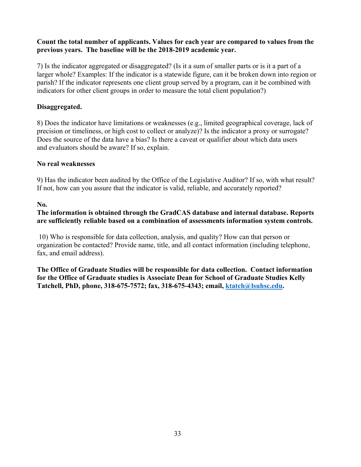#### **Count the total number of applicants. Values for each year are compared to values from the previous years. The baseline will be the 2018-2019 academic year.**

 7) Is the indicator aggregated or disaggregated? (Is it a sum of smaller parts or is it a part of a larger whole? Examples: If the indicator is a statewide figure, can it be broken down into region or parish? If the indicator represents one client group served by a program, can it be combined with indicators for other client groups in order to measure the total client population?)

#### **Disaggregated.**

8) Does the indicator have limitations or weaknesses (e.g., limited geographical coverage, lack of precision or timeliness, or high cost to collect or analyze)? Is the indicator a proxy or surrogate? Does the source of the data have a bias? Is there a caveat or qualifier about which data users and evaluators should be aware? If so, explain.

#### **No real weaknesses**

9) Has the indicator been audited by the Office of the Legislative Auditor? If so, with what result? If not, how can you assure that the indicator is valid, reliable, and accurately reported?

#### **No.**

#### **The information is obtained through the GradCAS database and internal database. Reports are sufficiently reliable based on a combination of assessments information system controls.**

10) Who is responsible for data collection, analysis, and quality? How can that person or organization be contacted? Provide name, title, and all contact information (including telephone, fax, and email address).

**The Office of Graduate Studies will be responsible for data collection. Contact information for the Office of Graduate studies is Associate Dean for School of Graduate Studies Kelly Tatchell, PhD, phone, 318-675-7572; fax, 318-675-4343; email, [ktatch@lsuhsc.edu](mailto:ktatch@lsuhsc.edu).**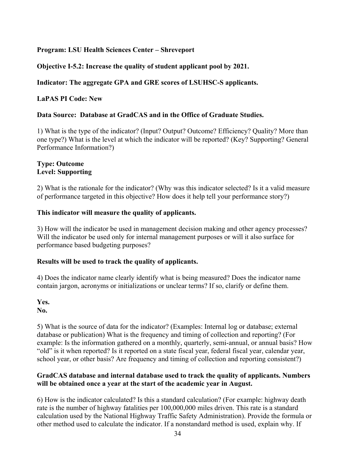#### **Objective I-5.2: Increase the quality of student applicant pool by 2021.**

#### **Indicator: The aggregate GPA and GRE scores of LSUHSC-S applicants.**

#### **LaPAS PI Code: New**

#### **Data Source: Database at GradCAS and in the Office of Graduate Studies.**

 1) What is the type of the indicator? (Input? Output? Outcome? Efficiency? Quality? More than one type?) What is the level at which the indicator will be reported? (Key? Supporting? General Performance Information?)

#### **Type: Outcome Level: Supporting**

2) What is the rationale for the indicator? (Why was this indicator selected? Is it a valid measure of performance targeted in this objective? How does it help tell your performance story?)

#### **This indicator will measure the quality of applicants.**

3) How will the indicator be used in management decision making and other agency processes? Will the indicator be used only for internal management purposes or will it also surface for performance based budgeting purposes?

#### **Results will be used to track the quality of applicants.**

4) Does the indicator name clearly identify what is being measured? Does the indicator name contain jargon, acronyms or initializations or unclear terms? If so, clarify or define them.

## **Yes.**

**No.** 

5) What is the source of data for the indicator? (Examples: Internal log or database; external database or publication) What is the frequency and timing of collection and reporting? (For example: Is the information gathered on a monthly, quarterly, semi-annual, or annual basis? How "old" is it when reported? Is it reported on a state fiscal year, federal fiscal year, calendar year, school year, or other basis? Are frequency and timing of collection and reporting consistent?)

#### **GradCAS database and internal database used to track the quality of applicants. Numbers will be obtained once a year at the start of the academic year in August.**

6) How is the indicator calculated? Is this a standard calculation? (For example: highway death rate is the number of highway fatalities per 100,000,000 miles driven. This rate is a standard calculation used by the National Highway Traffic Safety Administration). Provide the formula or other method used to calculate the indicator. If a nonstandard method is used, explain why. If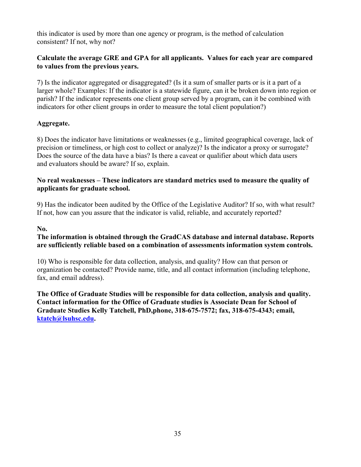this indicator is used by more than one agency or program, is the method of calculation consistent? If not, why not?

#### **Calculate the average GRE and GPA for all applicants. Values for each year are compared to values from the previous years.**

 7) Is the indicator aggregated or disaggregated? (Is it a sum of smaller parts or is it a part of a larger whole? Examples: If the indicator is a statewide figure, can it be broken down into region or parish? If the indicator represents one client group served by a program, can it be combined with indicators for other client groups in order to measure the total client population?)

#### **Aggregate.**

8) Does the indicator have limitations or weaknesses (e.g., limited geographical coverage, lack of precision or timeliness, or high cost to collect or analyze)? Is the indicator a proxy or surrogate? Does the source of the data have a bias? Is there a caveat or qualifier about which data users and evaluators should be aware? If so, explain.

#### **No real weaknesses – These indicators are standard metrics used to measure the quality of applicants for graduate school.**

9) Has the indicator been audited by the Office of the Legislative Auditor? If so, with what result? If not, how can you assure that the indicator is valid, reliable, and accurately reported?

#### **No.**

#### **The information is obtained through the GradCAS database and internal database. Reports are sufficiently reliable based on a combination of assessments information system controls.**

10) Who is responsible for data collection, analysis, and quality? How can that person or organization be contacted? Provide name, title, and all contact information (including telephone, fax, and email address).

**The Office of Graduate Studies will be responsible for data collection, analysis and quality. Contact information for the Office of Graduate studies is Associate Dean for School of Graduate Studies Kelly Tatchell, PhD,phone, 318-675-7572; fax, 318-675-4343; email, [ktatch@lsuhsc.edu](mailto:ktatch@lsuhsc.edu).**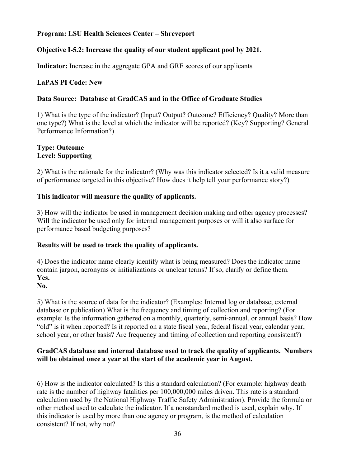#### **Objective I-5.2: Increase the quality of our student applicant pool by 2021.**

**Indicator:** Increase in the aggregate GPA and GRE scores of our applicants

#### **LaPAS PI Code: New**

#### **Data Source: Database at GradCAS and in the Office of Graduate Studies**

 1) What is the type of the indicator? (Input? Output? Outcome? Efficiency? Quality? More than one type?) What is the level at which the indicator will be reported? (Key? Supporting? General Performance Information?)

#### **Type: Outcome Level: Supporting**

2) What is the rationale for the indicator? (Why was this indicator selected? Is it a valid measure of performance targeted in this objective? How does it help tell your performance story?)

#### **This indicator will measure the quality of applicants.**

3) How will the indicator be used in management decision making and other agency processes? Will the indicator be used only for internal management purposes or will it also surface for performance based budgeting purposes?

#### **Results will be used to track the quality of applicants.**

4) Does the indicator name clearly identify what is being measured? Does the indicator name contain jargon, acronyms or initializations or unclear terms? If so, clarify or define them. **Yes.** 

### **No.**

5) What is the source of data for the indicator? (Examples: Internal log or database; external database or publication) What is the frequency and timing of collection and reporting? (For example: Is the information gathered on a monthly, quarterly, semi-annual, or annual basis? How "old" is it when reported? Is it reported on a state fiscal year, federal fiscal year, calendar year, school year, or other basis? Are frequency and timing of collection and reporting consistent?)

#### **GradCAS database and internal database used to track the quality of applicants. Numbers will be obtained once a year at the start of the academic year in August.**

6) How is the indicator calculated? Is this a standard calculation? (For example: highway death rate is the number of highway fatalities per 100,000,000 miles driven. This rate is a standard calculation used by the National Highway Traffic Safety Administration). Provide the formula or other method used to calculate the indicator. If a nonstandard method is used, explain why. If this indicator is used by more than one agency or program, is the method of calculation consistent? If not, why not?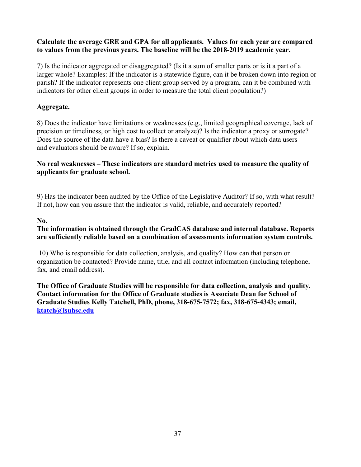#### **Calculate the average GRE and GPA for all applicants. Values for each year are compared to values from the previous years. The baseline will be the 2018-2019 academic year.**

 7) Is the indicator aggregated or disaggregated? (Is it a sum of smaller parts or is it a part of a larger whole? Examples: If the indicator is a statewide figure, can it be broken down into region or parish? If the indicator represents one client group served by a program, can it be combined with indicators for other client groups in order to measure the total client population?)

# **Aggregate.**

8) Does the indicator have limitations or weaknesses (e.g., limited geographical coverage, lack of precision or timeliness, or high cost to collect or analyze)? Is the indicator a proxy or surrogate? Does the source of the data have a bias? Is there a caveat or qualifier about which data users and evaluators should be aware? If so, explain.

#### **No real weaknesses – These indicators are standard metrics used to measure the quality of applicants for graduate school.**

9) Has the indicator been audited by the Office of the Legislative Auditor? If so, with what result? If not, how can you assure that the indicator is valid, reliable, and accurately reported?

#### **No.**

# **The information is obtained through the GradCAS database and internal database. Reports are sufficiently reliable based on a combination of assessments information system controls.**

10) Who is responsible for data collection, analysis, and quality? How can that person or organization be contacted? Provide name, title, and all contact information (including telephone, fax, and email address).

**The Office of Graduate Studies will be responsible for data collection, analysis and quality. Contact information for the Office of Graduate studies is Associate Dean for School of Graduate Studies Kelly Tatchell, PhD, phone, 318-675-7572; fax, 318-675-4343; email, [ktatch@lsuhsc.edu](mailto:ktatch@lsuhsc.edu)**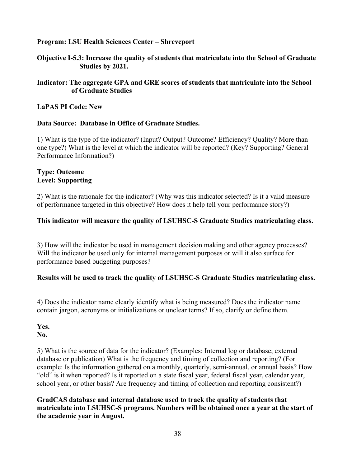**Objective I-5.3: Increase the quality of students that matriculate into the School of Graduate Studies by 2021.** 

#### **Indicator: The aggregate GPA and GRE scores of students that matriculate into the School of Graduate Studies**

#### **LaPAS PI Code: New**

#### **Data Source: Database in Office of Graduate Studies.**

 1) What is the type of the indicator? (Input? Output? Outcome? Efficiency? Quality? More than one type?) What is the level at which the indicator will be reported? (Key? Supporting? General Performance Information?)

#### **Type: Outcome Level: Supporting**

2) What is the rationale for the indicator? (Why was this indicator selected? Is it a valid measure of performance targeted in this objective? How does it help tell your performance story?)

#### **This indicator will measure the quality of LSUHSC-S Graduate Studies matriculating class.**

3) How will the indicator be used in management decision making and other agency processes? Will the indicator be used only for internal management purposes or will it also surface for performance based budgeting purposes?

#### **Results will be used to track the quality of LSUHSC-S Graduate Studies matriculating class.**

4) Does the indicator name clearly identify what is being measured? Does the indicator name contain jargon, acronyms or initializations or unclear terms? If so, clarify or define them.

**Yes. No.** 

5) What is the source of data for the indicator? (Examples: Internal log or database; external database or publication) What is the frequency and timing of collection and reporting? (For example: Is the information gathered on a monthly, quarterly, semi-annual, or annual basis? How "old" is it when reported? Is it reported on a state fiscal year, federal fiscal year, calendar year, school year, or other basis? Are frequency and timing of collection and reporting consistent?)

**GradCAS database and internal database used to track the quality of students that matriculate into LSUHSC-S programs. Numbers will be obtained once a year at the start of the academic year in August.**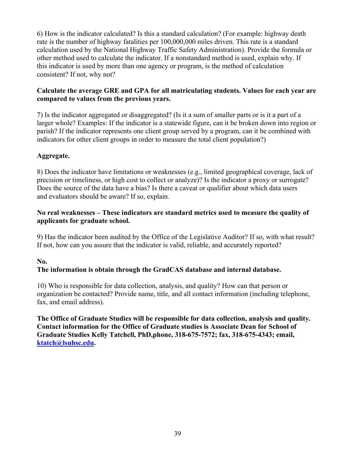6) How is the indicator calculated? Is this a standard calculation? (For example: highway death rate is the number of highway fatalities per 100,000,000 miles driven. This rate is a standard calculation used by the National Highway Traffic Safety Administration). Provide the formula or other method used to calculate the indicator. If a nonstandard method is used, explain why. If this indicator is used by more than one agency or program, is the method of calculation consistent? If not, why not?

# **Calculate the average GRE and GPA for all matriculating students. Values for each year are compared to values from the previous years.**

 7) Is the indicator aggregated or disaggregated? (Is it a sum of smaller parts or is it a part of a larger whole? Examples: If the indicator is a statewide figure, can it be broken down into region or parish? If the indicator represents one client group served by a program, can it be combined with indicators for other client groups in order to measure the total client population?)

# **Aggregate.**

8) Does the indicator have limitations or weaknesses (e.g., limited geographical coverage, lack of precision or timeliness, or high cost to collect or analyze)? Is the indicator a proxy or surrogate? Does the source of the data have a bias? Is there a caveat or qualifier about which data users and evaluators should be aware? If so, explain.

#### **No real weaknesses – These indicators are standard metrics used to measure the quality of applicants for graduate school.**

9) Has the indicator been audited by the Office of the Legislative Auditor? If so, with what result? If not, how can you assure that the indicator is valid, reliable, and accurately reported?

# **No.**

# **The information is obtain through the GradCAS database and internal database.**

10) Who is responsible for data collection, analysis, and quality? How can that person or organization be contacted? Provide name, title, and all contact information (including telephone, fax, and email address).

**The Office of Graduate Studies will be responsible for data collection, analysis and quality. Contact information for the Office of Graduate studies is Associate Dean for School of Graduate Studies Kelly Tatchell, PhD,phone, 318-675-7572; fax, 318-675-4343; email, [ktatch@lsuhsc.edu](mailto:ktatch@lsuhsc.edu).**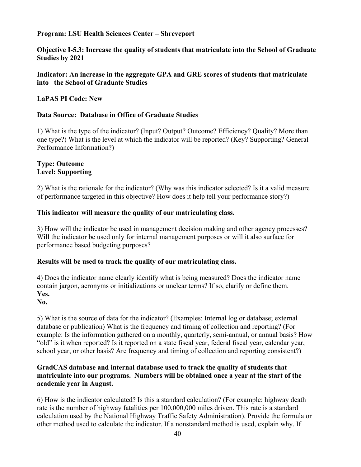**Objective I-5.3: Increase the quality of students that matriculate into the School of Graduate Studies by 2021** 

#### **Indicator: An increase in the aggregate GPA and GRE scores of students that matriculate into the School of Graduate Studies**

#### **LaPAS PI Code: New**

#### **Data Source: Database in Office of Graduate Studies**

 1) What is the type of the indicator? (Input? Output? Outcome? Efficiency? Quality? More than one type?) What is the level at which the indicator will be reported? (Key? Supporting? General Performance Information?)

#### **Type: Outcome Level: Supporting**

2) What is the rationale for the indicator? (Why was this indicator selected? Is it a valid measure of performance targeted in this objective? How does it help tell your performance story?)

#### **This indicator will measure the quality of our matriculating class.**

3) How will the indicator be used in management decision making and other agency processes? Will the indicator be used only for internal management purposes or will it also surface for performance based budgeting purposes?

#### **Results will be used to track the quality of our matriculating class.**

4) Does the indicator name clearly identify what is being measured? Does the indicator name contain jargon, acronyms or initializations or unclear terms? If so, clarify or define them. **Yes.** 

#### **No.**

5) What is the source of data for the indicator? (Examples: Internal log or database; external database or publication) What is the frequency and timing of collection and reporting? (For example: Is the information gathered on a monthly, quarterly, semi-annual, or annual basis? How "old" is it when reported? Is it reported on a state fiscal year, federal fiscal year, calendar year, school year, or other basis? Are frequency and timing of collection and reporting consistent?)

#### **GradCAS database and internal database used to track the quality of students that matriculate into our programs. Numbers will be obtained once a year at the start of the academic year in August.**

6) How is the indicator calculated? Is this a standard calculation? (For example: highway death rate is the number of highway fatalities per 100,000,000 miles driven. This rate is a standard calculation used by the National Highway Traffic Safety Administration). Provide the formula or other method used to calculate the indicator. If a nonstandard method is used, explain why. If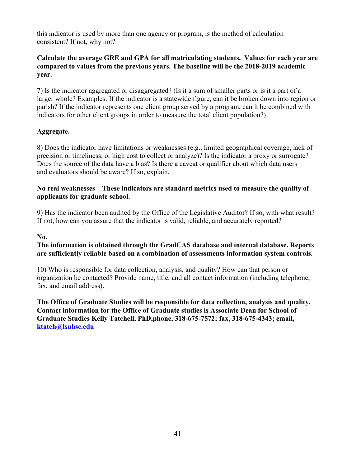this indicator is used by more than one agency or program, is the method of calculation consistent? If not, why not?

#### **Calculate the average GRE and GPA for all matriculating students. Values for each year are compared to values from the previous years. The baseline will be the 2018-2019 academic year.**

 7) Is the indicator aggregated or disaggregated? (Is it a sum of smaller parts or is it a part of a larger whole? Examples: If the indicator is a statewide figure, can it be broken down into region or parish? If the indicator represents one client group served by a program, can it be combined with indicators for other client groups in order to measure the total client population?)

# **Aggregate.**

8) Does the indicator have limitations or weaknesses (e.g., limited geographical coverage, lack of precision or timeliness, or high cost to collect or analyze)? Is the indicator a proxy or surrogate? Does the source of the data have a bias? Is there a caveat or qualifier about which data users and evaluators should be aware? If so, explain.

#### **No real weaknesses – These indicators are standard metrics used to measure the quality of applicants for graduate school.**

9) Has the indicator been audited by the Office of the Legislative Auditor? If so, with what result? If not, how can you assure that the indicator is valid, reliable, and accurately reported?

#### **No.**

#### **The information is obtained through the GradCAS database and internal database. Reports are sufficiently reliable based on a combination of assessments information system controls.**

10) Who is responsible for data collection, analysis, and quality? How can that person or organization be contacted? Provide name, title, and all contact information (including telephone, fax, and email address).

**The Office of Graduate Studies will be responsible for data collection, analysis and quality. Contact information for the Office of Graduate studies is Associate Dean for School of Graduate Studies Kelly Tatchell, PhD,phone, 318-675-7572; fax, 318-675-4343; email, [ktatch@lsuhsc.edu](mailto:ktatch@lsuhsc.edu)**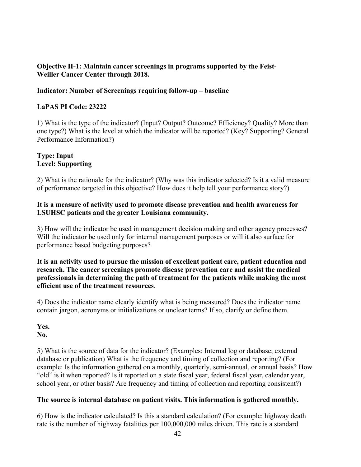#### **Objective II-1: Maintain cancer screenings in programs supported by the Feist-Weiller Cancer Center through 2018.**

#### **Indicator: Number of Screenings requiring follow-up – baseline**

#### **LaPAS PI Code: 23222**

 1) What is the type of the indicator? (Input? Output? Outcome? Efficiency? Quality? More than one type?) What is the level at which the indicator will be reported? (Key? Supporting? General Performance Information?)

#### **Type: Input Level: Supporting**

2) What is the rationale for the indicator? (Why was this indicator selected? Is it a valid measure of performance targeted in this objective? How does it help tell your performance story?)

#### **It is a measure of activity used to promote disease prevention and health awareness for LSUHSC patients and the greater Louisiana community.**

3) How will the indicator be used in management decision making and other agency processes? Will the indicator be used only for internal management purposes or will it also surface for performance based budgeting purposes?

**It is an activity used to pursue the mission of excellent patient care, patient education and research. The cancer screenings promote disease prevention care and assist the medical professionals in determining the path of treatment for the patients while making the most efficient use of the treatment resources**.

4) Does the indicator name clearly identify what is being measured? Does the indicator name contain jargon, acronyms or initializations or unclear terms? If so, clarify or define them.

5) What is the source of data for the indicator? (Examples: Internal log or database; external database or publication) What is the frequency and timing of collection and reporting? (For example: Is the information gathered on a monthly, quarterly, semi-annual, or annual basis? How "old" is it when reported? Is it reported on a state fiscal year, federal fiscal year, calendar year, school year, or other basis? Are frequency and timing of collection and reporting consistent?)

#### **The source is internal database on patient visits. This information is gathered monthly.**

6) How is the indicator calculated? Is this a standard calculation? (For example: highway death rate is the number of highway fatalities per 100,000,000 miles driven. This rate is a standard

**Yes. No.**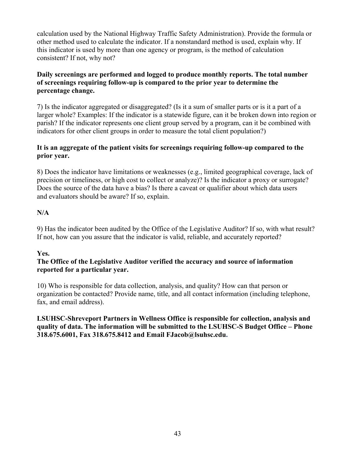calculation used by the National Highway Traffic Safety Administration). Provide the formula or other method used to calculate the indicator. If a nonstandard method is used, explain why. If this indicator is used by more than one agency or program, is the method of calculation consistent? If not, why not?

# **Daily screenings are performed and logged to produce monthly reports. The total number of screenings requiring follow-up is compared to the prior year to determine the percentage change.**

 7) Is the indicator aggregated or disaggregated? (Is it a sum of smaller parts or is it a part of a larger whole? Examples: If the indicator is a statewide figure, can it be broken down into region or parish? If the indicator represents one client group served by a program, can it be combined with indicators for other client groups in order to measure the total client population?)

# **It is an aggregate of the patient visits for screenings requiring follow-up compared to the prior year.**

8) Does the indicator have limitations or weaknesses (e.g., limited geographical coverage, lack of precision or timeliness, or high cost to collect or analyze)? Is the indicator a proxy or surrogate? Does the source of the data have a bias? Is there a caveat or qualifier about which data users and evaluators should be aware? If so, explain.

# **N/A**

9) Has the indicator been audited by the Office of the Legislative Auditor? If so, with what result? If not, how can you assure that the indicator is valid, reliable, and accurately reported?

#### **Yes.**

#### **The Office of the Legislative Auditor verified the accuracy and source of information reported for a particular year.**

10) Who is responsible for data collection, analysis, and quality? How can that person or organization be contacted? Provide name, title, and all contact information (including telephone, fax, and email address).

**LSUHSC-Shreveport Partners in Wellness Office is responsible for collection, analysis and quality of data. The information will be submitted to the LSUHSC-S Budget Office – Phone 318.675.6001, Fax 318.675.8412 and Email [FJacob@lsuhsc.edu.](mailto:FJacob@lsuhsc.edu)**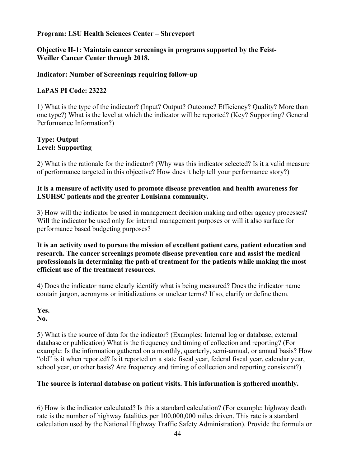#### **Objective II-1: Maintain cancer screenings in programs supported by the Feist-Weiller Cancer Center through 2018.**

#### **Indicator: Number of Screenings requiring follow-up**

#### **LaPAS PI Code: 23222**

 1) What is the type of the indicator? (Input? Output? Outcome? Efficiency? Quality? More than one type?) What is the level at which the indicator will be reported? (Key? Supporting? General Performance Information?)

#### **Type: Output Level: Supporting**

2) What is the rationale for the indicator? (Why was this indicator selected? Is it a valid measure of performance targeted in this objective? How does it help tell your performance story?)

#### **It is a measure of activity used to promote disease prevention and health awareness for LSUHSC patients and the greater Louisiana community.**

3) How will the indicator be used in management decision making and other agency processes? Will the indicator be used only for internal management purposes or will it also surface for performance based budgeting purposes?

#### **It is an activity used to pursue the mission of excellent patient care, patient education and research. The cancer screenings promote disease prevention care and assist the medical professionals in determining the path of treatment for the patients while making the most efficient use of the treatment resources**.

4) Does the indicator name clearly identify what is being measured? Does the indicator name contain jargon, acronyms or initializations or unclear terms? If so, clarify or define them.

# **Yes.**

#### **No.**

5) What is the source of data for the indicator? (Examples: Internal log or database; external database or publication) What is the frequency and timing of collection and reporting? (For example: Is the information gathered on a monthly, quarterly, semi-annual, or annual basis? How "old" is it when reported? Is it reported on a state fiscal year, federal fiscal year, calendar year, school year, or other basis? Are frequency and timing of collection and reporting consistent?)

#### **The source is internal database on patient visits. This information is gathered monthly.**

6) How is the indicator calculated? Is this a standard calculation? (For example: highway death rate is the number of highway fatalities per 100,000,000 miles driven. This rate is a standard calculation used by the National Highway Traffic Safety Administration). Provide the formula or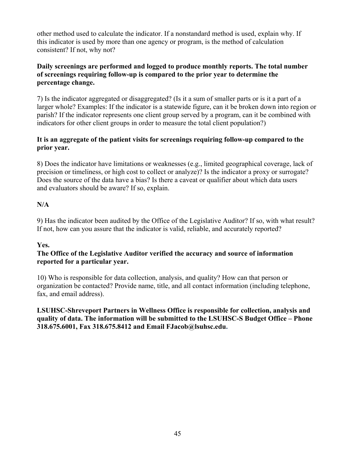other method used to calculate the indicator. If a nonstandard method is used, explain why. If this indicator is used by more than one agency or program, is the method of calculation consistent? If not, why not?

#### **Daily screenings are performed and logged to produce monthly reports. The total number of screenings requiring follow-up is compared to the prior year to determine the percentage change.**

 7) Is the indicator aggregated or disaggregated? (Is it a sum of smaller parts or is it a part of a larger whole? Examples: If the indicator is a statewide figure, can it be broken down into region or parish? If the indicator represents one client group served by a program, can it be combined with indicators for other client groups in order to measure the total client population?)

# **It is an aggregate of the patient visits for screenings requiring follow-up compared to the prior year.**

8) Does the indicator have limitations or weaknesses (e.g., limited geographical coverage, lack of precision or timeliness, or high cost to collect or analyze)? Is the indicator a proxy or surrogate? Does the source of the data have a bias? Is there a caveat or qualifier about which data users and evaluators should be aware? If so, explain.

# **N/A**

9) Has the indicator been audited by the Office of the Legislative Auditor? If so, with what result? If not, how can you assure that the indicator is valid, reliable, and accurately reported?

#### **Yes.**

#### **The Office of the Legislative Auditor verified the accuracy and source of information reported for a particular year.**

10) Who is responsible for data collection, analysis, and quality? How can that person or organization be contacted? Provide name, title, and all contact information (including telephone, fax, and email address).

**LSUHSC-Shreveport Partners in Wellness Office is responsible for collection, analysis and quality of data. The information will be submitted to the LSUHSC-S Budget Office – Phone 318.675.6001, Fax 318.675.8412 and Email [FJacob@lsuhsc.edu.](mailto:FJacob@lsuhsc.edu)**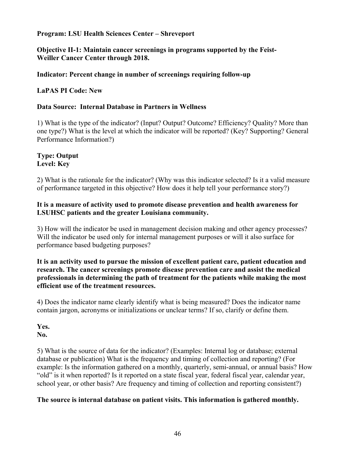**Objective II-1: Maintain cancer screenings in programs supported by the Feist-Weiller Cancer Center through 2018.** 

#### **Indicator: Percent change in number of screenings requiring follow-up**

#### **LaPAS PI Code: New**

#### **Data Source: Internal Database in Partners in Wellness**

 1) What is the type of the indicator? (Input? Output? Outcome? Efficiency? Quality? More than one type?) What is the level at which the indicator will be reported? (Key? Supporting? General Performance Information?)

#### **Type: Output Level: Key**

2) What is the rationale for the indicator? (Why was this indicator selected? Is it a valid measure of performance targeted in this objective? How does it help tell your performance story?)

#### **It is a measure of activity used to promote disease prevention and health awareness for LSUHSC patients and the greater Louisiana community.**

3) How will the indicator be used in management decision making and other agency processes? Will the indicator be used only for internal management purposes or will it also surface for performance based budgeting purposes?

**It is an activity used to pursue the mission of excellent patient care, patient education and research. The cancer screenings promote disease prevention care and assist the medical professionals in determining the path of treatment for the patients while making the most efficient use of the treatment resources.**

4) Does the indicator name clearly identify what is being measured? Does the indicator name contain jargon, acronyms or initializations or unclear terms? If so, clarify or define them.

#### **Yes. No.**

5) What is the source of data for the indicator? (Examples: Internal log or database; external database or publication) What is the frequency and timing of collection and reporting? (For example: Is the information gathered on a monthly, quarterly, semi-annual, or annual basis? How "old" is it when reported? Is it reported on a state fiscal year, federal fiscal year, calendar year, school year, or other basis? Are frequency and timing of collection and reporting consistent?)

#### **The source is internal database on patient visits. This information is gathered monthly.**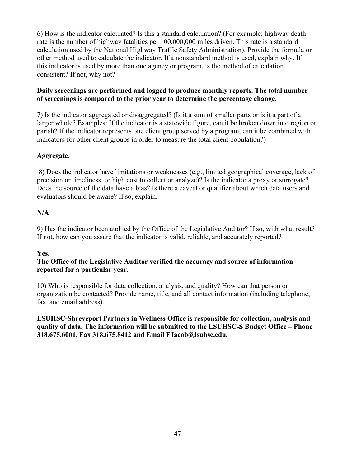6) How is the indicator calculated? Is this a standard calculation? (For example: highway death rate is the number of highway fatalities per 100,000,000 miles driven. This rate is a standard calculation used by the National Highway Traffic Safety Administration). Provide the formula or other method used to calculate the indicator. If a nonstandard method is used, explain why. If this indicator is used by more than one agency or program, is the method of calculation consistent? If not, why not?

# **Daily screenings are performed and logged to produce monthly reports. The total number of screenings is compared to the prior year to determine the percentage change.**

 7) Is the indicator aggregated or disaggregated? (Is it a sum of smaller parts or is it a part of a larger whole? Examples: If the indicator is a statewide figure, can it be broken down into region or parish? If the indicator represents one client group served by a program, can it be combined with indicators for other client groups in order to measure the total client population?)

# **Aggregate.**

8) Does the indicator have limitations or weaknesses (e.g., limited geographical coverage, lack of precision or timeliness, or high cost to collect or analyze)? Is the indicator a proxy or surrogate? Does the source of the data have a bias? Is there a caveat or qualifier about which data users and evaluators should be aware? If so, explain.

# **N/A**

9) Has the indicator been audited by the Office of the Legislative Auditor? If so, with what result? If not, how can you assure that the indicator is valid, reliable, and accurately reported?

#### **Yes.**

#### **The Office of the Legislative Auditor verified the accuracy and source of information reported for a particular year.**

10) Who is responsible for data collection, analysis, and quality? How can that person or organization be contacted? Provide name, title, and all contact information (including telephone, fax, and email address).

**LSUHSC-Shreveport Partners in Wellness Office is responsible for collection, analysis and quality of data. The information will be submitted to the LSUHSC-S Budget Office – Phone 318.675.6001, Fax 318.675.8412 and Email [FJacob@lsuhsc.edu](mailto:FJacob@lsuhsc.edu).**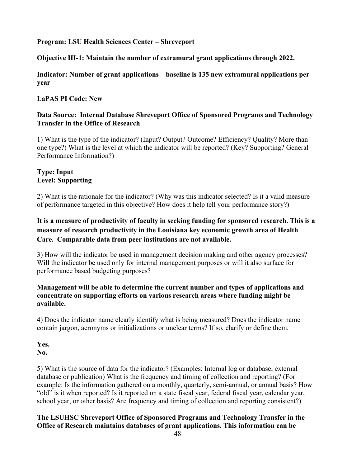# **Objective III-1: Maintain the number of extramural grant applications through 2022.**

**Indicator: Number of grant applications – baseline is 135 new extramural applications per year** 

# **LaPAS PI Code: New**

# **Data Source: Internal Database Shreveport Office of Sponsored Programs and Technology Transfer in the Office of Research**

 1) What is the type of the indicator? (Input? Output? Outcome? Efficiency? Quality? More than one type?) What is the level at which the indicator will be reported? (Key? Supporting? General Performance Information?)

# **Type: Input Level: Supporting**

2) What is the rationale for the indicator? (Why was this indicator selected? Is it a valid measure of performance targeted in this objective? How does it help tell your performance story?)

# **It is a measure of productivity of faculty in seeking funding for sponsored research. This is a measure of research productivity in the Louisiana key economic growth area of Health Care. Comparable data from peer institutions are not available.**

3) How will the indicator be used in management decision making and other agency processes? Will the indicator be used only for internal management purposes or will it also surface for performance based budgeting purposes?

#### **Management will be able to determine the current number and types of applications and concentrate on supporting efforts on various research areas where funding might be available.**

4) Does the indicator name clearly identify what is being measured? Does the indicator name contain jargon, acronyms or initializations or unclear terms? If so, clarify or define them.

**Yes. No.** 

5) What is the source of data for the indicator? (Examples: Internal log or database; external database or publication) What is the frequency and timing of collection and reporting? (For example: Is the information gathered on a monthly, quarterly, semi-annual, or annual basis? How "old" is it when reported? Is it reported on a state fiscal year, federal fiscal year, calendar year, school year, or other basis? Are frequency and timing of collection and reporting consistent?)

# **The LSUHSC Shreveport Office of Sponsored Programs and Technology Transfer in the Office of Research maintains databases of grant applications. This information can be**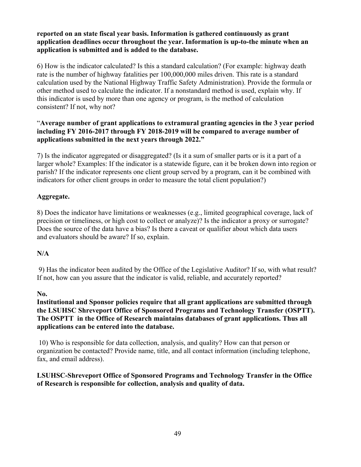#### **reported on an state fiscal year basis. Information is gathered continuously as grant application deadlines occur throughout the year. Information is up-to-the minute when an application is submitted and is added to the database.**

6) How is the indicator calculated? Is this a standard calculation? (For example: highway death rate is the number of highway fatalities per 100,000,000 miles driven. This rate is a standard calculation used by the National Highway Traffic Safety Administration). Provide the formula or other method used to calculate the indicator. If a nonstandard method is used, explain why. If this indicator is used by more than one agency or program, is the method of calculation consistent? If not, why not?

# "**Average number of grant applications to extramural granting agencies in the 3 year period including FY 2016-2017 through FY 2018-2019 will be compared to average number of applications submitted in the next years through 2022."**

 7) Is the indicator aggregated or disaggregated? (Is it a sum of smaller parts or is it a part of a larger whole? Examples: If the indicator is a statewide figure, can it be broken down into region or parish? If the indicator represents one client group served by a program, can it be combined with indicators for other client groups in order to measure the total client population?)

# **Aggregate.**

8) Does the indicator have limitations or weaknesses (e.g., limited geographical coverage, lack of precision or timeliness, or high cost to collect or analyze)? Is the indicator a proxy or surrogate? Does the source of the data have a bias? Is there a caveat or qualifier about which data users and evaluators should be aware? If so, explain.

#### **N/A**

9) Has the indicator been audited by the Office of the Legislative Auditor? If so, with what result? If not, how can you assure that the indicator is valid, reliable, and accurately reported?

#### **No.**

**Institutional and Sponsor policies require that all grant applications are submitted through the LSUHSC Shreveport Office of Sponsored Programs and Technology Transfer (OSPTT). The OSPTT in the Office of Research maintains databases of grant applications. Thus all applications can be entered into the database.**

 10) Who is responsible for data collection, analysis, and quality? How can that person or organization be contacted? Provide name, title, and all contact information (including telephone, fax, and email address).

# **LSUHSC-Shreveport Office of Sponsored Programs and Technology Transfer in the Office of Research is responsible for collection, analysis and quality of data.**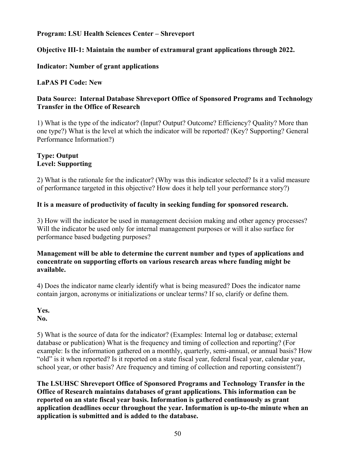# **Objective III-1: Maintain the number of extramural grant applications through 2022.**

# **Indicator: Number of grant applications**

# **LaPAS PI Code: New**

# **Data Source: Internal Database Shreveport Office of Sponsored Programs and Technology Transfer in the Office of Research**

 1) What is the type of the indicator? (Input? Output? Outcome? Efficiency? Quality? More than one type?) What is the level at which the indicator will be reported? (Key? Supporting? General Performance Information?)

# **Type: Output Level: Supporting**

2) What is the rationale for the indicator? (Why was this indicator selected? Is it a valid measure of performance targeted in this objective? How does it help tell your performance story?)

#### **It is a measure of productivity of faculty in seeking funding for sponsored research.**

3) How will the indicator be used in management decision making and other agency processes? Will the indicator be used only for internal management purposes or will it also surface for performance based budgeting purposes?

#### **Management will be able to determine the current number and types of applications and concentrate on supporting efforts on various research areas where funding might be available.**

4) Does the indicator name clearly identify what is being measured? Does the indicator name contain jargon, acronyms or initializations or unclear terms? If so, clarify or define them.

# **Yes.**

**No.** 

5) What is the source of data for the indicator? (Examples: Internal log or database; external database or publication) What is the frequency and timing of collection and reporting? (For example: Is the information gathered on a monthly, quarterly, semi-annual, or annual basis? How "old" is it when reported? Is it reported on a state fiscal year, federal fiscal year, calendar year, school year, or other basis? Are frequency and timing of collection and reporting consistent?)

**The LSUHSC Shreveport Office of Sponsored Programs and Technology Transfer in the Office of Research maintains databases of grant applications. This information can be reported on an state fiscal year basis. Information is gathered continuously as grant application deadlines occur throughout the year. Information is up-to-the minute when an application is submitted and is added to the database.**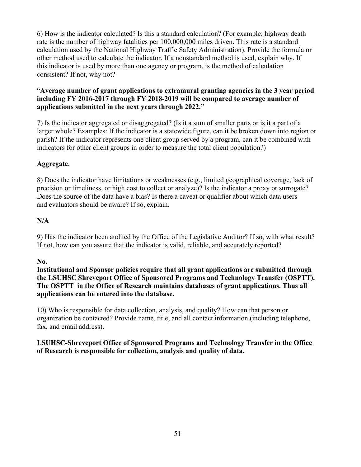6) How is the indicator calculated? Is this a standard calculation? (For example: highway death rate is the number of highway fatalities per 100,000,000 miles driven. This rate is a standard calculation used by the National Highway Traffic Safety Administration). Provide the formula or other method used to calculate the indicator. If a nonstandard method is used, explain why. If this indicator is used by more than one agency or program, is the method of calculation consistent? If not, why not?

# "**Average number of grant applications to extramural granting agencies in the 3 year period including FY 2016-2017 through FY 2018-2019 will be compared to average number of applications submitted in the next years through 2022."**

 7) Is the indicator aggregated or disaggregated? (Is it a sum of smaller parts or is it a part of a larger whole? Examples: If the indicator is a statewide figure, can it be broken down into region or parish? If the indicator represents one client group served by a program, can it be combined with indicators for other client groups in order to measure the total client population?)

# **Aggregate.**

8) Does the indicator have limitations or weaknesses (e.g., limited geographical coverage, lack of precision or timeliness, or high cost to collect or analyze)? Is the indicator a proxy or surrogate? Does the source of the data have a bias? Is there a caveat or qualifier about which data users and evaluators should be aware? If so, explain.

#### **N/A**

9) Has the indicator been audited by the Office of the Legislative Auditor? If so, with what result? If not, how can you assure that the indicator is valid, reliable, and accurately reported?

#### **No.**

**Institutional and Sponsor policies require that all grant applications are submitted through the LSUHSC Shreveport Office of Sponsored Programs and Technology Transfer (OSPTT). The OSPTT in the Office of Research maintains databases of grant applications. Thus all applications can be entered into the database.**

10) Who is responsible for data collection, analysis, and quality? How can that person or organization be contacted? Provide name, title, and all contact information (including telephone, fax, and email address).

# **LSUHSC-Shreveport Office of Sponsored Programs and Technology Transfer in the Office of Research is responsible for collection, analysis and quality of data.**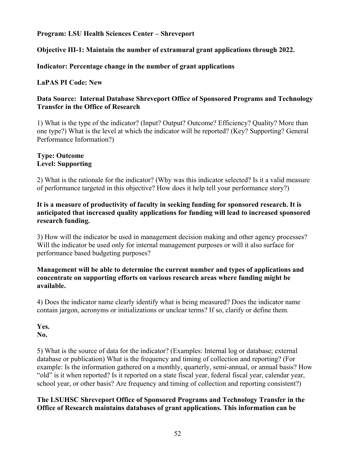# **Objective III-1: Maintain the number of extramural grant applications through 2022.**

# **Indicator: Percentage change in the number of grant applications**

# **LaPAS PI Code: New**

#### **Data Source: Internal Database Shreveport Office of Sponsored Programs and Technology Transfer in the Office of Research**

 1) What is the type of the indicator? (Input? Output? Outcome? Efficiency? Quality? More than one type?) What is the level at which the indicator will be reported? (Key? Supporting? General Performance Information?)

# **Type: Outcome Level: Supporting**

2) What is the rationale for the indicator? (Why was this indicator selected? Is it a valid measure of performance targeted in this objective? How does it help tell your performance story?)

#### **It is a measure of productivity of faculty in seeking funding for sponsored research. It is anticipated that increased quality applications for funding will lead to increased sponsored research funding.**

3) How will the indicator be used in management decision making and other agency processes? Will the indicator be used only for internal management purposes or will it also surface for performance based budgeting purposes?

#### **Management will be able to determine the current number and types of applications and concentrate on supporting efforts on various research areas where funding might be available.**

4) Does the indicator name clearly identify what is being measured? Does the indicator name contain jargon, acronyms or initializations or unclear terms? If so, clarify or define them.

#### **Yes. No.**

5) What is the source of data for the indicator? (Examples: Internal log or database; external database or publication) What is the frequency and timing of collection and reporting? (For example: Is the information gathered on a monthly, quarterly, semi-annual, or annual basis? How "old" is it when reported? Is it reported on a state fiscal year, federal fiscal year, calendar year, school year, or other basis? Are frequency and timing of collection and reporting consistent?)

#### **The LSUHSC Shreveport Office of Sponsored Programs and Technology Transfer in the Office of Research maintains databases of grant applications. This information can be**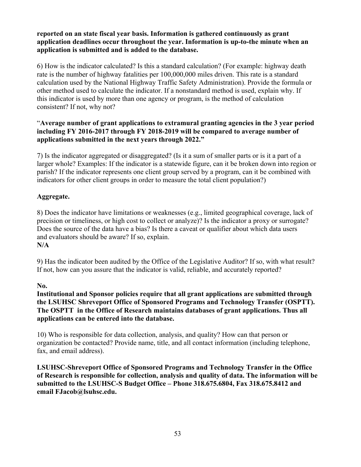#### **reported on an state fiscal year basis. Information is gathered continuously as grant application deadlines occur throughout the year. Information is up-to-the minute when an application is submitted and is added to the database.**

6) How is the indicator calculated? Is this a standard calculation? (For example: highway death rate is the number of highway fatalities per 100,000,000 miles driven. This rate is a standard calculation used by the National Highway Traffic Safety Administration). Provide the formula or other method used to calculate the indicator. If a nonstandard method is used, explain why. If this indicator is used by more than one agency or program, is the method of calculation consistent? If not, why not?

# "**Average number of grant applications to extramural granting agencies in the 3 year period including FY 2016-2017 through FY 2018-2019 will be compared to average number of applications submitted in the next years through 2022."**

 7) Is the indicator aggregated or disaggregated? (Is it a sum of smaller parts or is it a part of a larger whole? Examples: If the indicator is a statewide figure, can it be broken down into region or parish? If the indicator represents one client group served by a program, can it be combined with indicators for other client groups in order to measure the total client population?)

# **Aggregate.**

8) Does the indicator have limitations or weaknesses (e.g., limited geographical coverage, lack of precision or timeliness, or high cost to collect or analyze)? Is the indicator a proxy or surrogate? Does the source of the data have a bias? Is there a caveat or qualifier about which data users and evaluators should be aware? If so, explain. **N/A** 

9) Has the indicator been audited by the Office of the Legislative Auditor? If so, with what result? If not, how can you assure that the indicator is valid, reliable, and accurately reported?

#### **No.**

**Institutional and Sponsor policies require that all grant applications are submitted through the LSUHSC Shreveport Office of Sponsored Programs and Technology Transfer (OSPTT). The OSPTT in the Office of Research maintains databases of grant applications. Thus all applications can be entered into the database.**

10) Who is responsible for data collection, analysis, and quality? How can that person or organization be contacted? Provide name, title, and all contact information (including telephone, fax, and email address).

**LSUHSC-Shreveport Office of Sponsored Programs and Technology Transfer in the Office of Research is responsible for collection, analysis and quality of data. The information will be submitted to the LSUHSC-S Budget Office – Phone 318.675.6804, Fax 318.675.8412 and email [FJacob@lsuhsc.edu](mailto:FJacob@lsuhsc.edu).**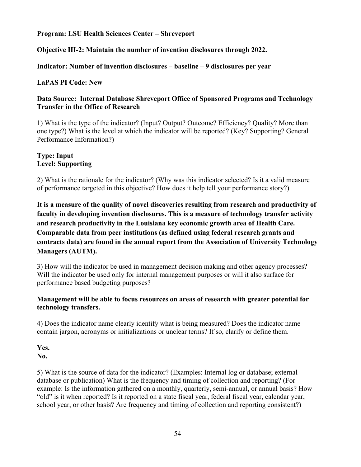# **Objective III-2: Maintain the number of invention disclosures through 2022.**

**Indicator: Number of invention disclosures – baseline – 9 disclosures per year** 

# **LaPAS PI Code: New**

#### **Data Source: Internal Database Shreveport Office of Sponsored Programs and Technology Transfer in the Office of Research**

 1) What is the type of the indicator? (Input? Output? Outcome? Efficiency? Quality? More than one type?) What is the level at which the indicator will be reported? (Key? Supporting? General Performance Information?)

# **Type: Input Level: Supporting**

2) What is the rationale for the indicator? (Why was this indicator selected? Is it a valid measure of performance targeted in this objective? How does it help tell your performance story?)

**It is a measure of the quality of novel discoveries resulting from research and productivity of faculty in developing invention disclosures. This is a measure of technology transfer activity and research productivity in the Louisiana key economic growth area of Health Care. Comparable data from peer institutions (as defined using federal research grants and contracts data) are found in the annual report from the Association of University Technology Managers (AUTM).** 

3) How will the indicator be used in management decision making and other agency processes? Will the indicator be used only for internal management purposes or will it also surface for performance based budgeting purposes?

#### **Management will be able to focus resources on areas of research with greater potential for technology transfers.**

4) Does the indicator name clearly identify what is being measured? Does the indicator name contain jargon, acronyms or initializations or unclear terms? If so, clarify or define them.

# **Yes.**

**No.** 

5) What is the source of data for the indicator? (Examples: Internal log or database; external database or publication) What is the frequency and timing of collection and reporting? (For example: Is the information gathered on a monthly, quarterly, semi-annual, or annual basis? How "old" is it when reported? Is it reported on a state fiscal year, federal fiscal year, calendar year, school year, or other basis? Are frequency and timing of collection and reporting consistent?)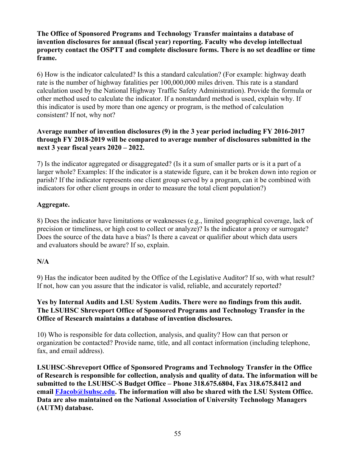**The Office of Sponsored Programs and Technology Transfer maintains a database of invention disclosures for annual (fiscal year) reporting. Faculty who develop intellectual property contact the OSPTT and complete disclosure forms. There is no set deadline or time frame.** 

6) How is the indicator calculated? Is this a standard calculation? (For example: highway death rate is the number of highway fatalities per 100,000,000 miles driven. This rate is a standard calculation used by the National Highway Traffic Safety Administration). Provide the formula or other method used to calculate the indicator. If a nonstandard method is used, explain why. If this indicator is used by more than one agency or program, is the method of calculation consistent? If not, why not?

# **Average number of invention disclosures (9) in the 3 year period including FY 2016-2017 through FY 2018-2019 will be compared to average number of disclosures submitted in the next 3 year fiscal years 2020 – 2022.**

 7) Is the indicator aggregated or disaggregated? (Is it a sum of smaller parts or is it a part of a larger whole? Examples: If the indicator is a statewide figure, can it be broken down into region or parish? If the indicator represents one client group served by a program, can it be combined with indicators for other client groups in order to measure the total client population?)

# **Aggregate.**

8) Does the indicator have limitations or weaknesses (e.g., limited geographical coverage, lack of precision or timeliness, or high cost to collect or analyze)? Is the indicator a proxy or surrogate? Does the source of the data have a bias? Is there a caveat or qualifier about which data users and evaluators should be aware? If so, explain.

# **N/A**

9) Has the indicator been audited by the Office of the Legislative Auditor? If so, with what result? If not, how can you assure that the indicator is valid, reliable, and accurately reported?

#### **Yes by Internal Audits and LSU System Audits. There were no findings from this audit. The LSUHSC Shreveport Office of Sponsored Programs and Technology Transfer in the Office of Research maintains a database of invention disclosures.**

10) Who is responsible for data collection, analysis, and quality? How can that person or organization be contacted? Provide name, title, and all contact information (including telephone, fax, and email address).

**LSUHSC-Shreveport Office of Sponsored Programs and Technology Transfer in the Office of Research is responsible for collection, analysis and quality of data. The information will be submitted to the LSUHSC-S Budget Office – Phone 318.675.6804, Fax 318.675.8412 and email [FJacob@lsuhsc.edu](mailto:FJacob@lsuhsc.edu). The information will also be shared with the LSU System Office. Data are also maintained on the National Association of University Technology Managers (AUTM) database.**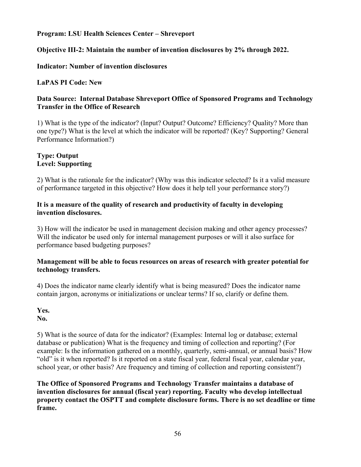# **Objective III-2: Maintain the number of invention disclosures by 2% through 2022.**

# **Indicator: Number of invention disclosures**

# **LaPAS PI Code: New**

# **Data Source: Internal Database Shreveport Office of Sponsored Programs and Technology Transfer in the Office of Research**

 1) What is the type of the indicator? (Input? Output? Outcome? Efficiency? Quality? More than one type?) What is the level at which the indicator will be reported? (Key? Supporting? General Performance Information?)

# **Type: Output Level: Supporting**

2) What is the rationale for the indicator? (Why was this indicator selected? Is it a valid measure of performance targeted in this objective? How does it help tell your performance story?)

#### **It is a measure of the quality of research and productivity of faculty in developing invention disclosures.**

3) How will the indicator be used in management decision making and other agency processes? Will the indicator be used only for internal management purposes or will it also surface for performance based budgeting purposes?

#### **Management will be able to focus resources on areas of research with greater potential for technology transfers.**

4) Does the indicator name clearly identify what is being measured? Does the indicator name contain jargon, acronyms or initializations or unclear terms? If so, clarify or define them.

**Yes.** 

**No.** 

5) What is the source of data for the indicator? (Examples: Internal log or database; external database or publication) What is the frequency and timing of collection and reporting? (For example: Is the information gathered on a monthly, quarterly, semi-annual, or annual basis? How "old" is it when reported? Is it reported on a state fiscal year, federal fiscal year, calendar year, school year, or other basis? Are frequency and timing of collection and reporting consistent?)

**The Office of Sponsored Programs and Technology Transfer maintains a database of invention disclosures for annual (fiscal year) reporting. Faculty who develop intellectual property contact the OSPTT and complete disclosure forms. There is no set deadline or time frame.**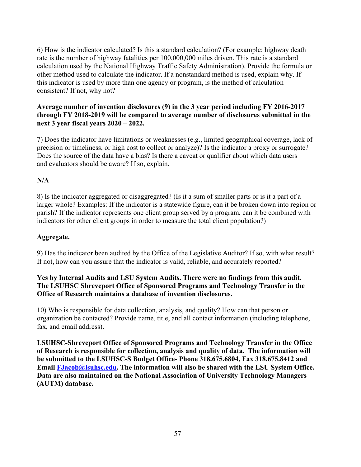6) How is the indicator calculated? Is this a standard calculation? (For example: highway death rate is the number of highway fatalities per 100,000,000 miles driven. This rate is a standard calculation used by the National Highway Traffic Safety Administration). Provide the formula or other method used to calculate the indicator. If a nonstandard method is used, explain why. If this indicator is used by more than one agency or program, is the method of calculation consistent? If not, why not?

#### **Average number of invention disclosures (9) in the 3 year period including FY 2016-2017 through FY 2018-2019 will be compared to average number of disclosures submitted in the next 3 year fiscal years 2020 – 2022.**

7) Does the indicator have limitations or weaknesses (e.g., limited geographical coverage, lack of precision or timeliness, or high cost to collect or analyze)? Is the indicator a proxy or surrogate? Does the source of the data have a bias? Is there a caveat or qualifier about which data users and evaluators should be aware? If so, explain.

# **N/A**

 8) Is the indicator aggregated or disaggregated? (Is it a sum of smaller parts or is it a part of a larger whole? Examples: If the indicator is a statewide figure, can it be broken down into region or parish? If the indicator represents one client group served by a program, can it be combined with indicators for other client groups in order to measure the total client population?)

# **Aggregate.**

9) Has the indicator been audited by the Office of the Legislative Auditor? If so, with what result? If not, how can you assure that the indicator is valid, reliable, and accurately reported?

# **Yes by Internal Audits and LSU System Audits. There were no findings from this audit. The LSUHSC Shreveport Office of Sponsored Programs and Technology Transfer in the Office of Research maintains a database of invention disclosures.**

10) Who is responsible for data collection, analysis, and quality? How can that person or organization be contacted? Provide name, title, and all contact information (including telephone, fax, and email address).

**LSUHSC-Shreveport Office of Sponsored Programs and Technology Transfer in the Office of Research is responsible for collection, analysis and quality of data. The information will be submitted to the LSUHSC-S Budget Office- Phone 318.675.6804, Fax 318.675.8412 and Email [FJacob@lsuhsc.edu.](mailto:FJacob@lsuhsc.edu) The information will also be shared with the LSU System Office. Data are also maintained on the National Association of University Technology Managers (AUTM) database.**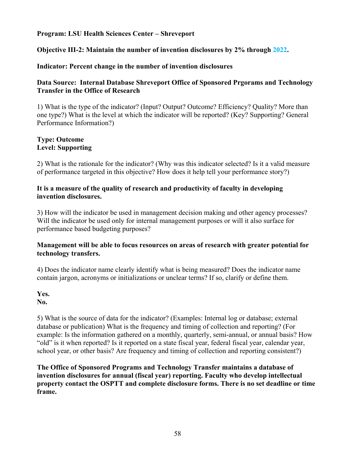#### **Objective III-2: Maintain the number of invention disclosures by 2% through 2022.**

#### **Indicator: Percent change in the number of invention disclosures**

#### **Data Source: Internal Database Shreveport Office of Sponsored Prgorams and Technology Transfer in the Office of Research**

 1) What is the type of the indicator? (Input? Output? Outcome? Efficiency? Quality? More than one type?) What is the level at which the indicator will be reported? (Key? Supporting? General Performance Information?)

#### **Type: Outcome Level: Supporting**

2) What is the rationale for the indicator? (Why was this indicator selected? Is it a valid measure of performance targeted in this objective? How does it help tell your performance story?)

#### **It is a measure of the quality of research and productivity of faculty in developing invention disclosures.**

3) How will the indicator be used in management decision making and other agency processes? Will the indicator be used only for internal management purposes or will it also surface for performance based budgeting purposes?

#### **Management will be able to focus resources on areas of research with greater potential for technology transfers.**

4) Does the indicator name clearly identify what is being measured? Does the indicator name contain jargon, acronyms or initializations or unclear terms? If so, clarify or define them.

**Yes.** 

**No.** 

5) What is the source of data for the indicator? (Examples: Internal log or database; external database or publication) What is the frequency and timing of collection and reporting? (For example: Is the information gathered on a monthly, quarterly, semi-annual, or annual basis? How "old" is it when reported? Is it reported on a state fiscal year, federal fiscal year, calendar year, school year, or other basis? Are frequency and timing of collection and reporting consistent?)

**The Office of Sponsored Programs and Technology Transfer maintains a database of invention disclosures for annual (fiscal year) reporting. Faculty who develop intellectual property contact the OSPTT and complete disclosure forms. There is no set deadline or time frame.**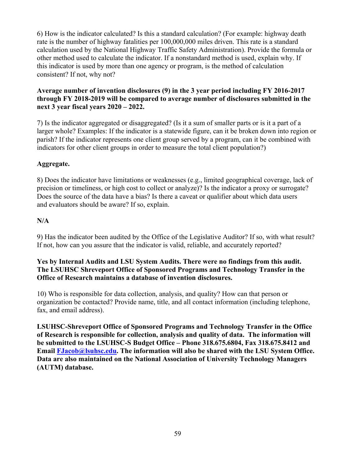6) How is the indicator calculated? Is this a standard calculation? (For example: highway death rate is the number of highway fatalities per 100,000,000 miles driven. This rate is a standard calculation used by the National Highway Traffic Safety Administration). Provide the formula or other method used to calculate the indicator. If a nonstandard method is used, explain why. If this indicator is used by more than one agency or program, is the method of calculation consistent? If not, why not?

# **Average number of invention disclosures (9) in the 3 year period including FY 2016-2017 through FY 2018-2019 will be compared to average number of disclosures submitted in the next 3 year fiscal years 2020 – 2022.**

 7) Is the indicator aggregated or disaggregated? (Is it a sum of smaller parts or is it a part of a larger whole? Examples: If the indicator is a statewide figure, can it be broken down into region or parish? If the indicator represents one client group served by a program, can it be combined with indicators for other client groups in order to measure the total client population?)

# **Aggregate.**

8) Does the indicator have limitations or weaknesses (e.g., limited geographical coverage, lack of precision or timeliness, or high cost to collect or analyze)? Is the indicator a proxy or surrogate? Does the source of the data have a bias? Is there a caveat or qualifier about which data users and evaluators should be aware? If so, explain.

# **N/A**

9) Has the indicator been audited by the Office of the Legislative Auditor? If so, with what result? If not, how can you assure that the indicator is valid, reliable, and accurately reported?

#### **Yes by Internal Audits and LSU System Audits. There were no findings from this audit. The LSUHSC Shreveport Office of Sponsored Programs and Technology Transfer in the Office of Research maintains a database of invention disclosures.**

10) Who is responsible for data collection, analysis, and quality? How can that person or organization be contacted? Provide name, title, and all contact information (including telephone, fax, and email address).

**LSUHSC-Shreveport Office of Sponsored Programs and Technology Transfer in the Office of Research is responsible for collection, analysis and quality of data. The information will be submitted to the LSUHSC-S Budget Office – Phone 318.675.6804, Fax 318.675.8412 and Email [FJacob@lsuhsc.edu.](mailto:FJacob@lsuhsc.edu) The information will also be shared with the LSU System Office. Data are also maintained on the National Association of University Technology Managers (AUTM) database.**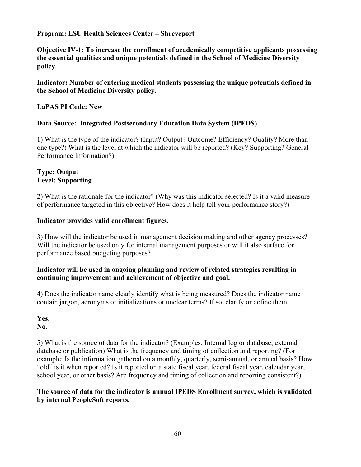**Objective IV-1: To increase the enrollment of academically competitive applicants possessing the essential qualities and unique potentials defined in the School of Medicine Diversity policy.**

**Indicator: Number of entering medical students possessing the unique potentials defined in the School of Medicine Diversity policy.** 

# **LaPAS PI Code: New**

#### **Data Source: Integrated Postsecondary Education Data System (IPEDS)**

 1) What is the type of the indicator? (Input? Output? Outcome? Efficiency? Quality? More than one type?) What is the level at which the indicator will be reported? (Key? Supporting? General Performance Information?)

#### **Type: Output Level: Supporting**

2) What is the rationale for the indicator? (Why was this indicator selected? Is it a valid measure of performance targeted in this objective? How does it help tell your performance story?)

#### **Indicator provides valid enrollment figures.**

3) How will the indicator be used in management decision making and other agency processes? Will the indicator be used only for internal management purposes or will it also surface for performance based budgeting purposes?

#### **Indicator will be used in ongoing planning and review of related strategies resulting in continuing improvement and achievement of objective and goal.**

4) Does the indicator name clearly identify what is being measured? Does the indicator name contain jargon, acronyms or initializations or unclear terms? If so, clarify or define them.

**Yes.** 

**No.** 

5) What is the source of data for the indicator? (Examples: Internal log or database; external database or publication) What is the frequency and timing of collection and reporting? (For example: Is the information gathered on a monthly, quarterly, semi-annual, or annual basis? How "old" is it when reported? Is it reported on a state fiscal year, federal fiscal year, calendar year, school year, or other basis? Are frequency and timing of collection and reporting consistent?)

#### **The source of data for the indicator is annual IPEDS Enrollment survey, which is validated by internal PeopleSoft reports.**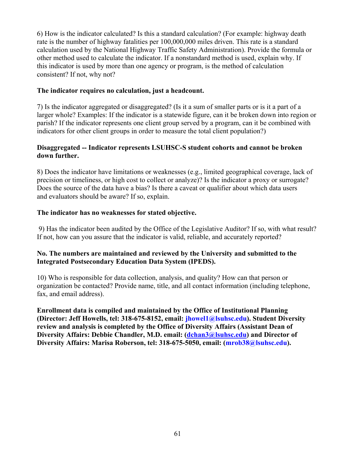6) How is the indicator calculated? Is this a standard calculation? (For example: highway death rate is the number of highway fatalities per 100,000,000 miles driven. This rate is a standard calculation used by the National Highway Traffic Safety Administration). Provide the formula or other method used to calculate the indicator. If a nonstandard method is used, explain why. If this indicator is used by more than one agency or program, is the method of calculation consistent? If not, why not?

#### **The indicator requires no calculation, just a headcount.**

 7) Is the indicator aggregated or disaggregated? (Is it a sum of smaller parts or is it a part of a larger whole? Examples: If the indicator is a statewide figure, can it be broken down into region or parish? If the indicator represents one client group served by a program, can it be combined with indicators for other client groups in order to measure the total client population?)

# **Disaggregated -- Indicator represents LSUHSC-S student cohorts and cannot be broken down further.**

8) Does the indicator have limitations or weaknesses (e.g., limited geographical coverage, lack of precision or timeliness, or high cost to collect or analyze)? Is the indicator a proxy or surrogate? Does the source of the data have a bias? Is there a caveat or qualifier about which data users and evaluators should be aware? If so, explain.

# **The indicator has no weaknesses for stated objective.**

 9) Has the indicator been audited by the Office of the Legislative Auditor? If so, with what result? If not, how can you assure that the indicator is valid, reliable, and accurately reported?

#### **No. The numbers are maintained and reviewed by the University and submitted to the Integrated Postsecondary Education Data System (IPEDS).**

10) Who is responsible for data collection, analysis, and quality? How can that person or organization be contacted? Provide name, title, and all contact information (including telephone, fax, and email address).

**Enrollment data is compiled and maintained by the Office of Institutional Planning (Director: Jeff Howells, tel: 318-675-8152, email: [jhowel1@lsuhsc.edu\)](mailto:jhowel1@lsuhsc.edu). Student Diversity review and analysis is completed by the Office of Diversity Affairs (Assistant Dean of Diversity Affairs: Debbie Chandler, M.D. email: ([dchan3@lsuhsc.edu](mailto:dchan3@lsuhsc.edu)) and Director of Diversity Affairs: Marisa Roberson, tel: 318-675-5050, email: ([mrob38@lsuhsc.edu](mailto:mrob38@lsuhsc.edu)).**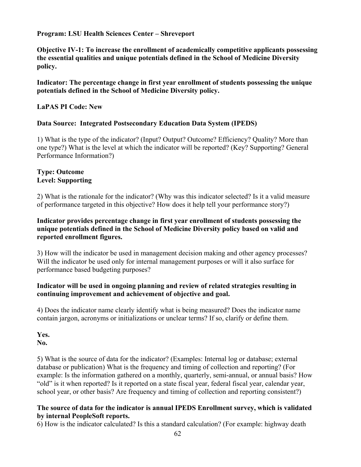**Objective IV-1: To increase the enrollment of academically competitive applicants possessing the essential qualities and unique potentials defined in the School of Medicine Diversity policy.**

**Indicator: The percentage change in first year enrollment of students possessing the unique potentials defined in the School of Medicine Diversity policy.** 

#### **LaPAS PI Code: New**

#### **Data Source: Integrated Postsecondary Education Data System (IPEDS)**

 1) What is the type of the indicator? (Input? Output? Outcome? Efficiency? Quality? More than one type?) What is the level at which the indicator will be reported? (Key? Supporting? General Performance Information?)

#### **Type: Outcome Level: Supporting**

2) What is the rationale for the indicator? (Why was this indicator selected? Is it a valid measure of performance targeted in this objective? How does it help tell your performance story?)

#### **Indicator provides percentage change in first year enrollment of students possessing the unique potentials defined in the School of Medicine Diversity policy based on valid and reported enrollment figures.**

3) How will the indicator be used in management decision making and other agency processes? Will the indicator be used only for internal management purposes or will it also surface for performance based budgeting purposes?

#### **Indicator will be used in ongoing planning and review of related strategies resulting in continuing improvement and achievement of objective and goal.**

4) Does the indicator name clearly identify what is being measured? Does the indicator name contain jargon, acronyms or initializations or unclear terms? If so, clarify or define them.

**Yes. No.** 

5) What is the source of data for the indicator? (Examples: Internal log or database; external database or publication) What is the frequency and timing of collection and reporting? (For example: Is the information gathered on a monthly, quarterly, semi-annual, or annual basis? How "old" is it when reported? Is it reported on a state fiscal year, federal fiscal year, calendar year, school year, or other basis? Are frequency and timing of collection and reporting consistent?)

#### **The source of data for the indicator is annual IPEDS Enrollment survey, which is validated by internal PeopleSoft reports.**

6) How is the indicator calculated? Is this a standard calculation? (For example: highway death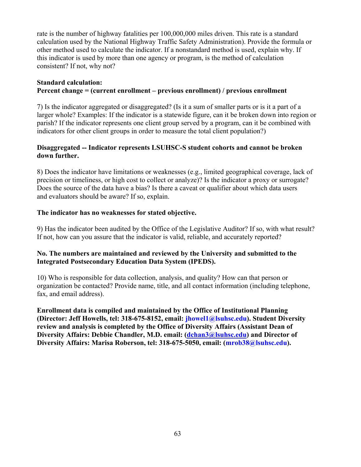rate is the number of highway fatalities per 100,000,000 miles driven. This rate is a standard calculation used by the National Highway Traffic Safety Administration). Provide the formula or other method used to calculate the indicator. If a nonstandard method is used, explain why. If this indicator is used by more than one agency or program, is the method of calculation consistent? If not, why not?

# **Standard calculation: Percent change = (current enrollment – previous enrollment) / previous enrollment**

 7) Is the indicator aggregated or disaggregated? (Is it a sum of smaller parts or is it a part of a larger whole? Examples: If the indicator is a statewide figure, can it be broken down into region or parish? If the indicator represents one client group served by a program, can it be combined with indicators for other client groups in order to measure the total client population?)

# **Disaggregated -- Indicator represents LSUHSC-S student cohorts and cannot be broken down further.**

8) Does the indicator have limitations or weaknesses (e.g., limited geographical coverage, lack of precision or timeliness, or high cost to collect or analyze)? Is the indicator a proxy or surrogate? Does the source of the data have a bias? Is there a caveat or qualifier about which data users and evaluators should be aware? If so, explain.

#### **The indicator has no weaknesses for stated objective.**

9) Has the indicator been audited by the Office of the Legislative Auditor? If so, with what result? If not, how can you assure that the indicator is valid, reliable, and accurately reported?

#### **No. The numbers are maintained and reviewed by the University and submitted to the Integrated Postsecondary Education Data System (IPEDS).**

10) Who is responsible for data collection, analysis, and quality? How can that person or organization be contacted? Provide name, title, and all contact information (including telephone, fax, and email address).

**Enrollment data is compiled and maintained by the Office of Institutional Planning (Director: Jeff Howells, tel: 318-675-8152, email: [jhowel1@lsuhsc.edu\)](mailto:jhowel1@lsuhsc.edu). Student Diversity review and analysis is completed by the Office of Diversity Affairs (Assistant Dean of Diversity Affairs: Debbie Chandler, M.D. email: ([dchan3@lsuhsc.edu](mailto:dchan3@lsuhsc.edu)) and Director of Diversity Affairs: Marisa Roberson, tel: 318-675-5050, email: ([mrob38@lsuhsc.edu](mailto:mrob38@lsuhsc.edu)).**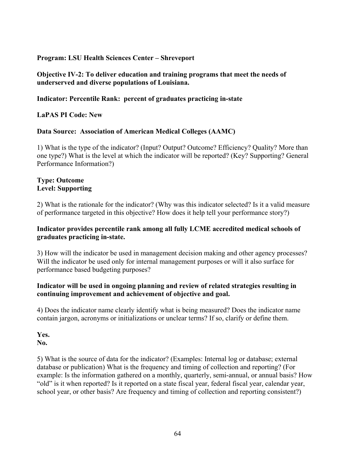# **Objective IV-2: To deliver education and training programs that meet the needs of underserved and diverse populations of Louisiana.**

# **Indicator: Percentile Rank: percent of graduates practicing in-state**

 **LaPAS PI Code: New**

# **Data Source: Association of American Medical Colleges (AAMC)**

 1) What is the type of the indicator? (Input? Output? Outcome? Efficiency? Quality? More than one type?) What is the level at which the indicator will be reported? (Key? Supporting? General Performance Information?)

#### **Type: Outcome Level: Supporting**

2) What is the rationale for the indicator? (Why was this indicator selected? Is it a valid measure of performance targeted in this objective? How does it help tell your performance story?)

#### **Indicator provides percentile rank among all fully LCME accredited medical schools of graduates practicing in-state.**

3) How will the indicator be used in management decision making and other agency processes? Will the indicator be used only for internal management purposes or will it also surface for performance based budgeting purposes?

#### **Indicator will be used in ongoing planning and review of related strategies resulting in continuing improvement and achievement of objective and goal.**

4) Does the indicator name clearly identify what is being measured? Does the indicator name contain jargon, acronyms or initializations or unclear terms? If so, clarify or define them.

**Yes. No.** 

5) What is the source of data for the indicator? (Examples: Internal log or database; external database or publication) What is the frequency and timing of collection and reporting? (For example: Is the information gathered on a monthly, quarterly, semi-annual, or annual basis? How "old" is it when reported? Is it reported on a state fiscal year, federal fiscal year, calendar year, school year, or other basis? Are frequency and timing of collection and reporting consistent?)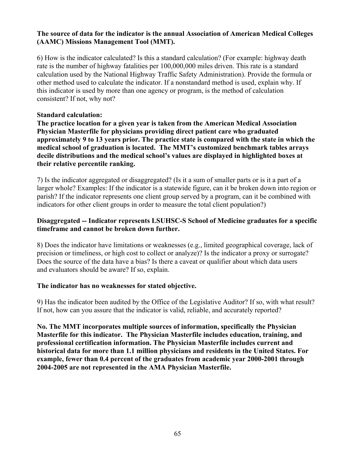#### **The source of data for the indicator is the annual Association of American Medical Colleges (AAMC) Missions Management Tool (MMT).**

6) How is the indicator calculated? Is this a standard calculation? (For example: highway death rate is the number of highway fatalities per 100,000,000 miles driven. This rate is a standard calculation used by the National Highway Traffic Safety Administration). Provide the formula or other method used to calculate the indicator. If a nonstandard method is used, explain why. If this indicator is used by more than one agency or program, is the method of calculation consistent? If not, why not?

# **Standard calculation:**

**The practice location for a given year is taken from the American Medical Association Physician Masterfile for physicians providing direct patient care who graduated approximately 9 to 13 years prior. The practice state is compared with the state in which the medical school of graduation is located. The MMT's customized benchmark tables arrays decile distributions and the medical school's values are displayed in highlighted boxes at their relative percentile ranking.** 

 7) Is the indicator aggregated or disaggregated? (Is it a sum of smaller parts or is it a part of a larger whole? Examples: If the indicator is a statewide figure, can it be broken down into region or parish? If the indicator represents one client group served by a program, can it be combined with indicators for other client groups in order to measure the total client population?)

#### **Disaggregated -- Indicator represents LSUHSC-S School of Medicine graduates for a specific timeframe and cannot be broken down further.**

8) Does the indicator have limitations or weaknesses (e.g., limited geographical coverage, lack of precision or timeliness, or high cost to collect or analyze)? Is the indicator a proxy or surrogate? Does the source of the data have a bias? Is there a caveat or qualifier about which data users and evaluators should be aware? If so, explain.

#### **The indicator has no weaknesses for stated objective.**

9) Has the indicator been audited by the Office of the Legislative Auditor? If so, with what result? If not, how can you assure that the indicator is valid, reliable, and accurately reported?

**No. The MMT incorporates multiple sources of information, specifically the Physician Masterfile for this indicator. The Physician Masterfile includes education, training, and professional certification information. The Physician Masterfile includes current and historical data for more than 1.1 million physicians and residents in the United States. For example, fewer than 0.4 percent of the graduates from academic year 2000-2001 through 2004-2005 are not represented in the AMA Physician Masterfile.**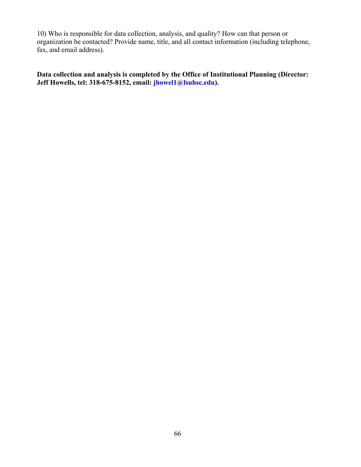10) Who is responsible for data collection, analysis, and quality? How can that person or organization be contacted? Provide name, title, and all contact information (including telephone, fax, and email address).

**Data collection and analysis is completed by the Office of Institutional Planning (Director: Jeff Howells, tel: 318-675-8152, email: [jhowel1@lsuhsc.edu](mailto:jhowel1@lsuhsc.edu)).**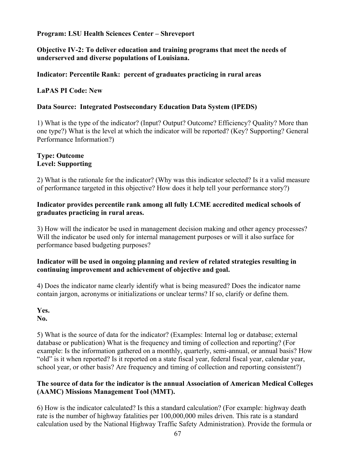**Objective IV-2: To deliver education and training programs that meet the needs of underserved and diverse populations of Louisiana.** 

#### **Indicator: Percentile Rank: percent of graduates practicing in rural areas**

 **LaPAS PI Code: New**

#### **Data Source: Integrated Postsecondary Education Data System (IPEDS)**

 1) What is the type of the indicator? (Input? Output? Outcome? Efficiency? Quality? More than one type?) What is the level at which the indicator will be reported? (Key? Supporting? General Performance Information?)

# **Type: Outcome Level: Supporting**

2) What is the rationale for the indicator? (Why was this indicator selected? Is it a valid measure of performance targeted in this objective? How does it help tell your performance story?)

#### **Indicator provides percentile rank among all fully LCME accredited medical schools of graduates practicing in rural areas.**

3) How will the indicator be used in management decision making and other agency processes? Will the indicator be used only for internal management purposes or will it also surface for performance based budgeting purposes?

#### **Indicator will be used in ongoing planning and review of related strategies resulting in continuing improvement and achievement of objective and goal.**

4) Does the indicator name clearly identify what is being measured? Does the indicator name contain jargon, acronyms or initializations or unclear terms? If so, clarify or define them.

**Yes.** 

**No.** 

5) What is the source of data for the indicator? (Examples: Internal log or database; external database or publication) What is the frequency and timing of collection and reporting? (For example: Is the information gathered on a monthly, quarterly, semi-annual, or annual basis? How "old" is it when reported? Is it reported on a state fiscal year, federal fiscal year, calendar year, school year, or other basis? Are frequency and timing of collection and reporting consistent?)

#### **The source of data for the indicator is the annual Association of American Medical Colleges (AAMC) Missions Management Tool (MMT).**

6) How is the indicator calculated? Is this a standard calculation? (For example: highway death rate is the number of highway fatalities per 100,000,000 miles driven. This rate is a standard calculation used by the National Highway Traffic Safety Administration). Provide the formula or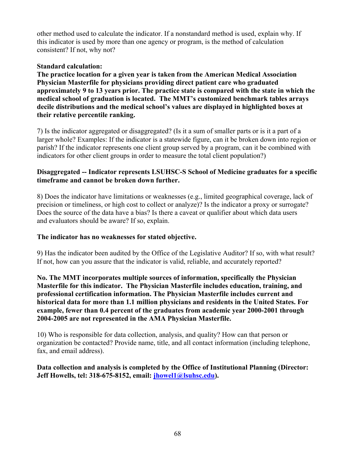other method used to calculate the indicator. If a nonstandard method is used, explain why. If this indicator is used by more than one agency or program, is the method of calculation consistent? If not, why not?

# **Standard calculation:**

**The practice location for a given year is taken from the American Medical Association Physician Masterfile for physicians providing direct patient care who graduated approximately 9 to 13 years prior. The practice state is compared with the state in which the medical school of graduation is located. The MMT's customized benchmark tables arrays decile distributions and the medical school's values are displayed in highlighted boxes at their relative percentile ranking.** 

 7) Is the indicator aggregated or disaggregated? (Is it a sum of smaller parts or is it a part of a larger whole? Examples: If the indicator is a statewide figure, can it be broken down into region or parish? If the indicator represents one client group served by a program, can it be combined with indicators for other client groups in order to measure the total client population?)

# **Disaggregated -- Indicator represents LSUHSC-S School of Medicine graduates for a specific timeframe and cannot be broken down further.**

8) Does the indicator have limitations or weaknesses (e.g., limited geographical coverage, lack of precision or timeliness, or high cost to collect or analyze)? Is the indicator a proxy or surrogate? Does the source of the data have a bias? Is there a caveat or qualifier about which data users and evaluators should be aware? If so, explain.

#### **The indicator has no weaknesses for stated objective.**

9) Has the indicator been audited by the Office of the Legislative Auditor? If so, with what result? If not, how can you assure that the indicator is valid, reliable, and accurately reported?

**No. The MMT incorporates multiple sources of information, specifically the Physician Masterfile for this indicator. The Physician Masterfile includes education, training, and professional certification information. The Physician Masterfile includes current and historical data for more than 1.1 million physicians and residents in the United States. For example, fewer than 0.4 percent of the graduates from academic year 2000-2001 through 2004-2005 are not represented in the AMA Physician Masterfile.** 

10) Who is responsible for data collection, analysis, and quality? How can that person or organization be contacted? Provide name, title, and all contact information (including telephone, fax, and email address).

**Data collection and analysis is completed by the Office of Institutional Planning (Director: Jeff Howells, tel: 318-675-8152, email: [jhowel1@lsuhsc.edu](mailto:jhowel1@lsuhsc.edu)).**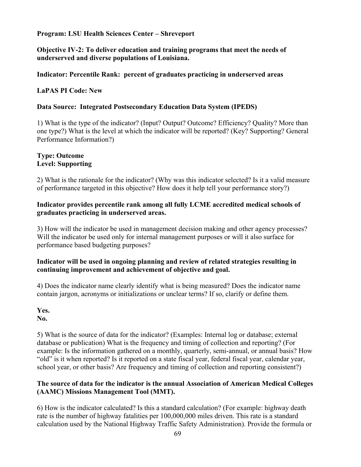**Objective IV-2: To deliver education and training programs that meet the needs of underserved and diverse populations of Louisiana.** 

#### **Indicator: Percentile Rank: percent of graduates practicing in underserved areas**

 **LaPAS PI Code: New**

#### **Data Source: Integrated Postsecondary Education Data System (IPEDS)**

 1) What is the type of the indicator? (Input? Output? Outcome? Efficiency? Quality? More than one type?) What is the level at which the indicator will be reported? (Key? Supporting? General Performance Information?)

#### **Type: Outcome Level: Supporting**

2) What is the rationale for the indicator? (Why was this indicator selected? Is it a valid measure of performance targeted in this objective? How does it help tell your performance story?)

#### **Indicator provides percentile rank among all fully LCME accredited medical schools of graduates practicing in underserved areas.**

3) How will the indicator be used in management decision making and other agency processes? Will the indicator be used only for internal management purposes or will it also surface for performance based budgeting purposes?

#### **Indicator will be used in ongoing planning and review of related strategies resulting in continuing improvement and achievement of objective and goal.**

4) Does the indicator name clearly identify what is being measured? Does the indicator name contain jargon, acronyms or initializations or unclear terms? If so, clarify or define them.

**Yes.** 

**No.** 

5) What is the source of data for the indicator? (Examples: Internal log or database; external database or publication) What is the frequency and timing of collection and reporting? (For example: Is the information gathered on a monthly, quarterly, semi-annual, or annual basis? How "old" is it when reported? Is it reported on a state fiscal year, federal fiscal year, calendar year, school year, or other basis? Are frequency and timing of collection and reporting consistent?)

#### **The source of data for the indicator is the annual Association of American Medical Colleges (AAMC) Missions Management Tool (MMT).**

6) How is the indicator calculated? Is this a standard calculation? (For example: highway death rate is the number of highway fatalities per 100,000,000 miles driven. This rate is a standard calculation used by the National Highway Traffic Safety Administration). Provide the formula or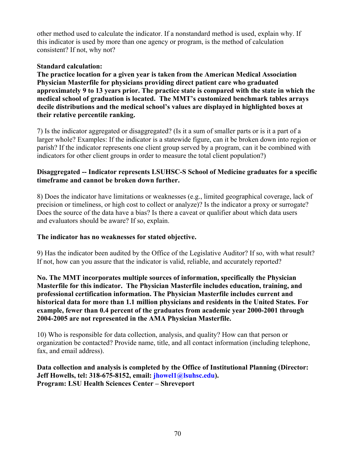other method used to calculate the indicator. If a nonstandard method is used, explain why. If this indicator is used by more than one agency or program, is the method of calculation consistent? If not, why not?

# **Standard calculation:**

**The practice location for a given year is taken from the American Medical Association Physician Masterfile for physicians providing direct patient care who graduated approximately 9 to 13 years prior. The practice state is compared with the state in which the medical school of graduation is located. The MMT's customized benchmark tables arrays decile distributions and the medical school's values are displayed in highlighted boxes at their relative percentile ranking.** 

 7) Is the indicator aggregated or disaggregated? (Is it a sum of smaller parts or is it a part of a larger whole? Examples: If the indicator is a statewide figure, can it be broken down into region or parish? If the indicator represents one client group served by a program, can it be combined with indicators for other client groups in order to measure the total client population?)

# **Disaggregated -- Indicator represents LSUHSC-S School of Medicine graduates for a specific timeframe and cannot be broken down further.**

8) Does the indicator have limitations or weaknesses (e.g., limited geographical coverage, lack of precision or timeliness, or high cost to collect or analyze)? Is the indicator a proxy or surrogate? Does the source of the data have a bias? Is there a caveat or qualifier about which data users and evaluators should be aware? If so, explain.

#### **The indicator has no weaknesses for stated objective.**

9) Has the indicator been audited by the Office of the Legislative Auditor? If so, with what result? If not, how can you assure that the indicator is valid, reliable, and accurately reported?

**No. The MMT incorporates multiple sources of information, specifically the Physician Masterfile for this indicator. The Physician Masterfile includes education, training, and professional certification information. The Physician Masterfile includes current and historical data for more than 1.1 million physicians and residents in the United States. For example, fewer than 0.4 percent of the graduates from academic year 2000-2001 through 2004-2005 are not represented in the AMA Physician Masterfile.** 

10) Who is responsible for data collection, analysis, and quality? How can that person or organization be contacted? Provide name, title, and all contact information (including telephone, fax, and email address).

**Data collection and analysis is completed by the Office of Institutional Planning (Director: Jeff Howells, tel: 318-675-8152, email: [jhowel1@lsuhsc.edu](mailto:jhowel1@lsuhsc.edu)). Program: LSU Health Sciences Center – Shreveport**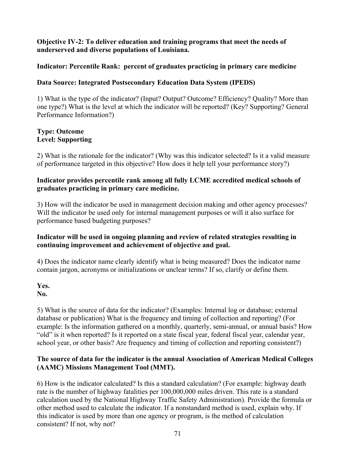#### **Objective IV-2: To deliver education and training programs that meet the needs of underserved and diverse populations of Louisiana.**

# **Indicator: Percentile Rank: percent of graduates practicing in primary care medicine**

# **Data Source: Integrated Postsecondary Education Data System (IPEDS)**

 1) What is the type of the indicator? (Input? Output? Outcome? Efficiency? Quality? More than one type?) What is the level at which the indicator will be reported? (Key? Supporting? General Performance Information?)

#### **Type: Outcome Level: Supporting**

2) What is the rationale for the indicator? (Why was this indicator selected? Is it a valid measure of performance targeted in this objective? How does it help tell your performance story?)

# **Indicator provides percentile rank among all fully LCME accredited medical schools of graduates practicing in primary care medicine.**

3) How will the indicator be used in management decision making and other agency processes? Will the indicator be used only for internal management purposes or will it also surface for performance based budgeting purposes?

# **Indicator will be used in ongoing planning and review of related strategies resulting in continuing improvement and achievement of objective and goal.**

4) Does the indicator name clearly identify what is being measured? Does the indicator name contain jargon, acronyms or initializations or unclear terms? If so, clarify or define them.

**Yes. No.** 

5) What is the source of data for the indicator? (Examples: Internal log or database; external database or publication) What is the frequency and timing of collection and reporting? (For example: Is the information gathered on a monthly, quarterly, semi-annual, or annual basis? How "old" is it when reported? Is it reported on a state fiscal year, federal fiscal year, calendar year, school year, or other basis? Are frequency and timing of collection and reporting consistent?)

# **The source of data for the indicator is the annual Association of American Medical Colleges (AAMC) Missions Management Tool (MMT).**

6) How is the indicator calculated? Is this a standard calculation? (For example: highway death rate is the number of highway fatalities per 100,000,000 miles driven. This rate is a standard calculation used by the National Highway Traffic Safety Administration). Provide the formula or other method used to calculate the indicator. If a nonstandard method is used, explain why. If this indicator is used by more than one agency or program, is the method of calculation consistent? If not, why not?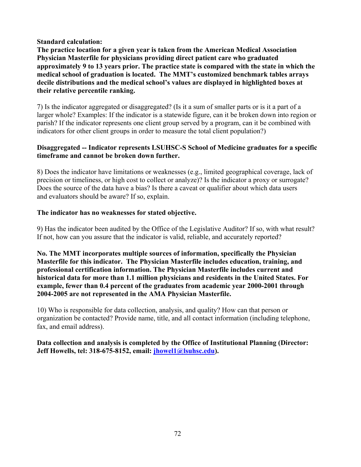#### **Standard calculation:**

**The practice location for a given year is taken from the American Medical Association Physician Masterfile for physicians providing direct patient care who graduated approximately 9 to 13 years prior. The practice state is compared with the state in which the medical school of graduation is located. The MMT's customized benchmark tables arrays decile distributions and the medical school's values are displayed in highlighted boxes at their relative percentile ranking.** 

 7) Is the indicator aggregated or disaggregated? (Is it a sum of smaller parts or is it a part of a larger whole? Examples: If the indicator is a statewide figure, can it be broken down into region or parish? If the indicator represents one client group served by a program, can it be combined with indicators for other client groups in order to measure the total client population?)

#### **Disaggregated -- Indicator represents LSUHSC-S School of Medicine graduates for a specific timeframe and cannot be broken down further.**

8) Does the indicator have limitations or weaknesses (e.g., limited geographical coverage, lack of precision or timeliness, or high cost to collect or analyze)? Is the indicator a proxy or surrogate? Does the source of the data have a bias? Is there a caveat or qualifier about which data users and evaluators should be aware? If so, explain.

#### **The indicator has no weaknesses for stated objective.**

9) Has the indicator been audited by the Office of the Legislative Auditor? If so, with what result? If not, how can you assure that the indicator is valid, reliable, and accurately reported?

**No. The MMT incorporates multiple sources of information, specifically the Physician Masterfile for this indicator. The Physician Masterfile includes education, training, and professional certification information. The Physician Masterfile includes current and historical data for more than 1.1 million physicians and residents in the United States. For example, fewer than 0.4 percent of the graduates from academic year 2000-2001 through 2004-2005 are not represented in the AMA Physician Masterfile.** 

10) Who is responsible for data collection, analysis, and quality? How can that person or organization be contacted? Provide name, title, and all contact information (including telephone, fax, and email address).

**Data collection and analysis is completed by the Office of Institutional Planning (Director: Jeff Howells, tel: 318-675-8152, email: [jhowel1@lsuhsc.edu](mailto:jhowel1@lsuhsc.edu)).**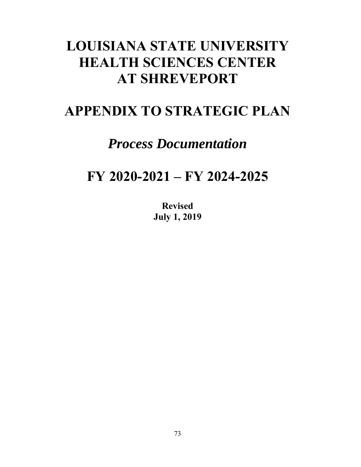# **LOUISIANA STATE UNIVERSITY HEALTH SCIENCES CENTER AT SHREVEPORT**

# **APPENDIX TO STRATEGIC PLAN**

## *Process Documentation*

# **FY 2020-2021 – FY 2024-2025**

**Revised July 1, 2019**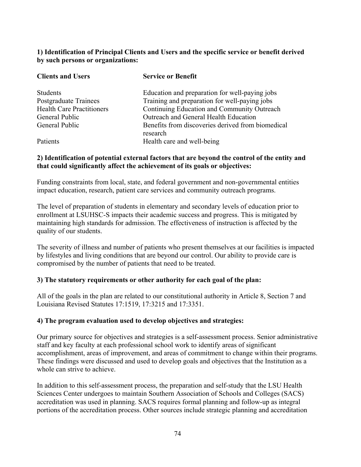#### **1) Identification of Principal Clients and Users and the specific service or benefit derived by such persons or organizations:**

| <b>Clients and Users</b>         | <b>Service or Benefit</b>                                     |
|----------------------------------|---------------------------------------------------------------|
| <b>Students</b>                  | Education and preparation for well-paying jobs                |
| Postgraduate Trainees            | Training and preparation for well-paying jobs                 |
| <b>Health Care Practitioners</b> | Continuing Education and Community Outreach                   |
| General Public                   | Outreach and General Health Education                         |
| General Public                   | Benefits from discoveries derived from biomedical<br>research |
| Patients                         | Health care and well-being                                    |

## **2) Identification of potential external factors that are beyond the control of the entity and that could significantly affect the achievement of its goals or objectives:**

Funding constraints from local, state, and federal government and non-governmental entities impact education, research, patient care services and community outreach programs.

The level of preparation of students in elementary and secondary levels of education prior to enrollment at LSUHSC-S impacts their academic success and progress. This is mitigated by maintaining high standards for admission. The effectiveness of instruction is affected by the quality of our students.

The severity of illness and number of patients who present themselves at our facilities is impacted by lifestyles and living conditions that are beyond our control. Our ability to provide care is compromised by the number of patients that need to be treated.

### **3) The statutory requirements or other authority for each goal of the plan:**

All of the goals in the plan are related to our constitutional authority in Article 8, Section 7 and Louisiana Revised Statutes 17:1519, 17:3215 and 17:3351.

### **4) The program evaluation used to develop objectives and strategies:**

Our primary source for objectives and strategies is a self-assessment process. Senior administrative staff and key faculty at each professional school work to identify areas of significant accomplishment, areas of improvement, and areas of commitment to change within their programs. These findings were discussed and used to develop goals and objectives that the Institution as a whole can strive to achieve.

In addition to this self-assessment process, the preparation and self-study that the LSU Health Sciences Center undergoes to maintain Southern Association of Schools and Colleges (SACS) accreditation was used in planning. SACS requires formal planning and follow-up as integral portions of the accreditation process. Other sources include strategic planning and accreditation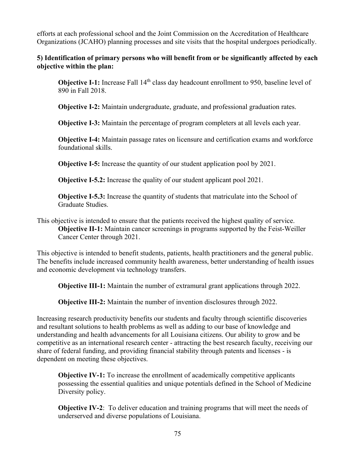efforts at each professional school and the Joint Commission on the Accreditation of Healthcare Organizations (JCAHO) planning processes and site visits that the hospital undergoes periodically.

#### **5) Identification of primary persons who will benefit from or be significantly affected by each objective within the plan:**

**Objective I-1:** Increase Fall 14<sup>th</sup> class day headcount enrollment to 950, baseline level of 890 in Fall 2018.

**Objective I-2:** Maintain undergraduate, graduate, and professional graduation rates.

**Objective I-3:** Maintain the percentage of program completers at all levels each year.

**Objective I-4:** Maintain passage rates on licensure and certification exams and workforce foundational skills.

**Objective I-5:** Increase the quantity of our student application pool by 2021.

**Objective I-5.2:** Increase the quality of our student applicant pool 2021.

**Objective I-5.3:** Increase the quantity of students that matriculate into the School of Graduate Studies.

This objective is intended to ensure that the patients received the highest quality of service. **Objective II-1:** Maintain cancer screenings in programs supported by the Feist-Weiller Cancer Center through 2021.

This objective is intended to benefit students, patients, health practitioners and the general public. The benefits include increased community health awareness, better understanding of health issues and economic development via technology transfers.

**Objective III-1:** Maintain the number of extramural grant applications through 2022.

**Objective III-2:** Maintain the number of invention disclosures through 2022.

Increasing research productivity benefits our students and faculty through scientific discoveries and resultant solutions to health problems as well as adding to our base of knowledge and understanding and health advancements for all Louisiana citizens. Our ability to grow and be competitive as an international research center - attracting the best research faculty, receiving our share of federal funding, and providing financial stability through patents and licenses - is dependent on meeting these objectives.

Diversity policy. **Objective IV-1:** To increase the enrollment of academically competitive applicants possessing the essential qualities and unique potentials defined in the School of Medicine

**Objective IV-2:** To deliver education and training programs that will meet the needs of underserved and diverse populations of Louisiana.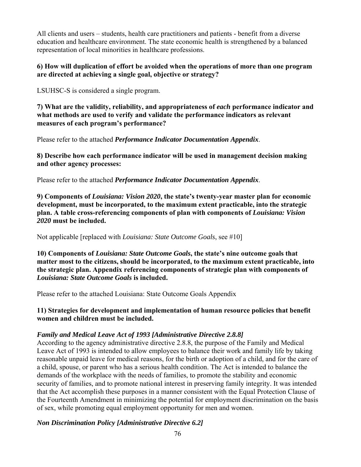All clients and users – students, health care practitioners and patients - benefit from a diverse education and healthcare environment. The state economic health is strengthened by a balanced representation of local minorities in healthcare professions.

#### **6) How will duplication of effort be avoided when the operations of more than one program are directed at achieving a single goal, objective or strategy?**

LSUHSC-S is considered a single program.

**7) What are the validity, reliability, and appropriateness of** *each* **performance indicator and what methods are used to verify and validate the performance indicators as relevant measures of each program's performance?** 

Please refer to the attached *Performance Indicator Documentation Appendix*.

**8) Describe how each performance indicator will be used in management decision making and other agency processes:** 

Please refer to the attached *Performance Indicator Documentation Appendix*.

**9) Components of** *Louisiana: Vision 2020***, the state's twenty-year master plan for economic development, must be incorporated, to the maximum extent practicable, into the strategic plan. A table cross-referencing components of plan with components of** *Louisiana: Vision 2020* **must be included.** 

Not applicable [replaced with *Louisiana: State Outcome Goals*, see #10]

**10) Components of** *Louisiana: State Outcome Goals***, the state's nine outcome goals that matter most to the citizens, should be incorporated, to the maximum extent practicable, into the strategic plan. Appendix referencing components of strategic plan with components of**  *Louisiana: State Outcome Goals* **is included.** 

Please refer to the attached Louisiana: State Outcome Goals Appendix

#### **11) Strategies for development and implementation of human resource policies that benefit women and children must be included.**

### *Family and Medical Leave Act of 1993 [Administrative Directive 2.8.8]*

According to the agency administrative directive 2.8.8, the purpose of the Family and Medical Leave Act of 1993 is intended to allow employees to balance their work and family life by taking reasonable unpaid leave for medical reasons, for the birth or adoption of a child, and for the care of a child, spouse, or parent who has a serious health condition. The Act is intended to balance the demands of the workplace with the needs of families, to promote the stability and economic security of families, and to promote national interest in preserving family integrity. It was intended that the Act accomplish these purposes in a manner consistent with the Equal Protection Clause of the Fourteenth Amendment in minimizing the potential for employment discrimination on the basis of sex, while promoting equal employment opportunity for men and women.

### *Non Discrimination Policy [Administrative Directive 6.2]*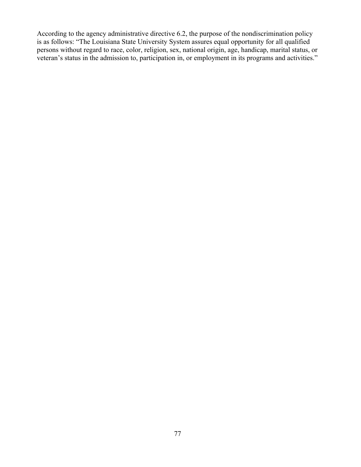is as follows: "The Louisiana State University System assures equal opportunity for all qualified According to the agency administrative directive 6.2, the purpose of the nondiscrimination policy persons without regard to race, color, religion, sex, national origin, age, handicap, marital status, or veteran's status in the admission to, participation in, or employment in its programs and activities."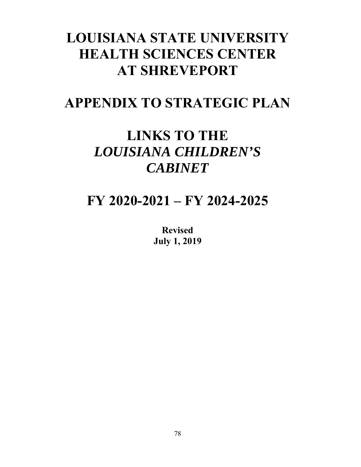# **LOUISIANA STATE UNIVERSITY HEALTH SCIENCES CENTER AT SHREVEPORT**

## **APPENDIX TO STRATEGIC PLAN**

# **LINKS TO THE**  *LOUISIANA CHILDREN'S CABINET*

## **FY 2020-2021 – FY 2024-2025**

**Revised July 1, 2019**